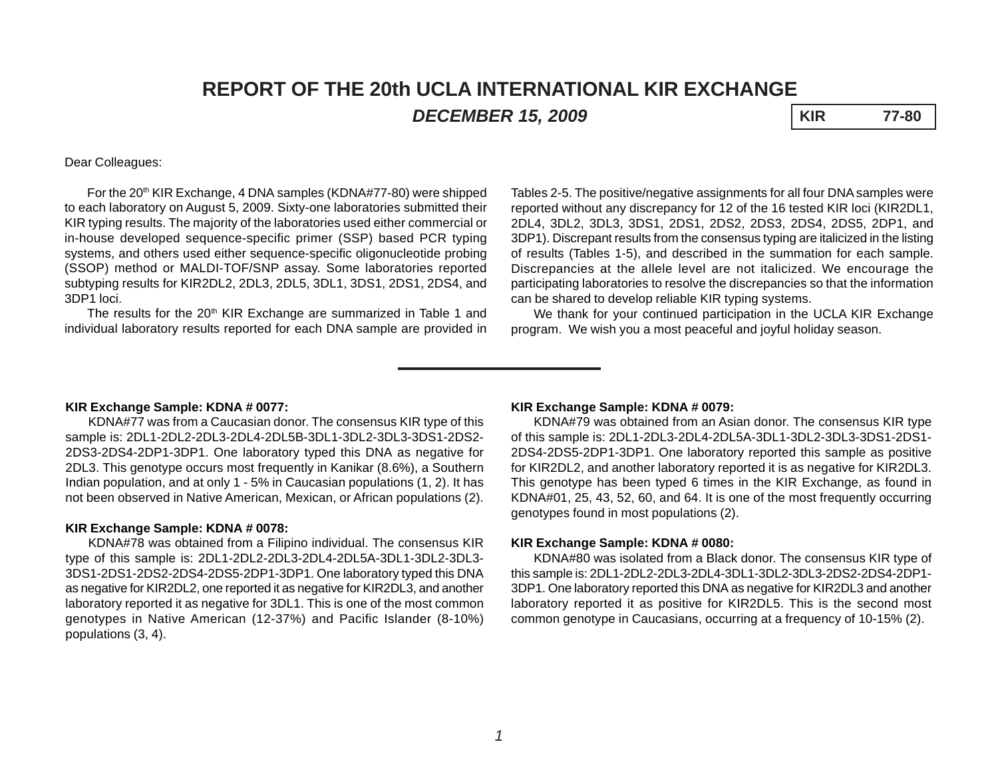# **REPORT OF THE 20th UCLA INTERNATIONAL KIR EXCHANGE** *DECEMBER 15, 2009* **KIR 77-80**

### Dear Colleagues:

For the 20<sup>th</sup> KIR Exchange, 4 DNA samples (KDNA#77-80) were shipped to each laboratory on August 5, 2009. Sixty-one laboratories submitted their KIR typing results. The majority of the laboratories used either commercial or in-house developed sequence-specific primer (SSP) based PCR typing systems, and others used either sequence-specific oligonucleotide probing (SSOP) method or MALDI-TOF/SNP assay. Some laboratories reported subtyping results for KIR2DL2, 2DL3, 2DL5, 3DL1, 3DS1, 2DS1, 2DS4, and 3DP1 loci.

The results for the 20<sup>th</sup> KIR Exchange are summarized in Table 1 and individual laboratory results reported for each DNA sample are provided in

Tables 2-5. The positive/negative assignments for all four DNA samples were reported without any discrepancy for 12 of the 16 tested KIR loci (KIR2DL1, 2DL4, 3DL2, 3DL3, 3DS1, 2DS1, 2DS2, 2DS3, 2DS4, 2DS5, 2DP1, and 3DP1). Discrepant results from the consensus typing are italicized in the listing of results (Tables 1-5), and described in the summation for each sample. Discrepancies at the allele level are not italicized. We encourage the participating laboratories to resolve the discrepancies so that the information can be shared to develop reliable KIR typing systems.

We thank for your continued participation in the UCLA KIR Exchange program. We wish you a most peaceful and joyful holiday season.

#### **KIR Exchange Sample: KDNA # 0077:**

KDNA#77 was from a Caucasian donor. The consensus KIR type of this sample is: 2DL1-2DL2-2DL3-2DL4-2DL5B-3DL1-3DL2-3DL3-3DS1-2DS2- 2DS3-2DS4-2DP1-3DP1. One laboratory typed this DNA as negative for 2DL3. This genotype occurs most frequently in Kanikar (8.6%), a Southern Indian population, and at only 1 - 5% in Caucasian populations (1, 2). It has not been observed in Native American, Mexican, or African populations (2).

### **KIR Exchange Sample: KDNA # 0078:**

KDNA#78 was obtained from a Filipino individual. The consensus KIR type of this sample is: 2DL1-2DL2-2DL3-2DL4-2DL5A-3DL1-3DL2-3DL3- 3DS1-2DS1-2DS2-2DS4-2DS5-2DP1-3DP1. One laboratory typed this DNA as negative for KIR2DL2, one reported it as negative for KIR2DL3, and another laboratory reported it as negative for 3DL1. This is one of the most common genotypes in Native American (12-37%) and Pacific Islander (8-10%) populations (3, 4).

#### **KIR Exchange Sample: KDNA # 0079:**

KDNA#79 was obtained from an Asian donor. The consensus KIR type of this sample is: 2DL1-2DL3-2DL4-2DL5A-3DL1-3DL2-3DL3-3DS1-2DS1- 2DS4-2DS5-2DP1-3DP1. One laboratory reported this sample as positive for KIR2DL2, and another laboratory reported it is as negative for KIR2DL3. This genotype has been typed 6 times in the KIR Exchange, as found in KDNA#01, 25, 43, 52, 60, and 64. It is one of the most frequently occurring genotypes found in most populations (2).

#### **KIR Exchange Sample: KDNA # 0080:**

KDNA#80 was isolated from a Black donor. The consensus KIR type of this sample is: 2DL1-2DL2-2DL3-2DL4-3DL1-3DL2-3DL3-2DS2-2DS4-2DP1- 3DP1. One laboratory reported this DNA as negative for KIR2DL3 and another laboratory reported it as positive for KIR2DL5. This is the second most common genotype in Caucasians, occurring at a frequency of 10-15% (2).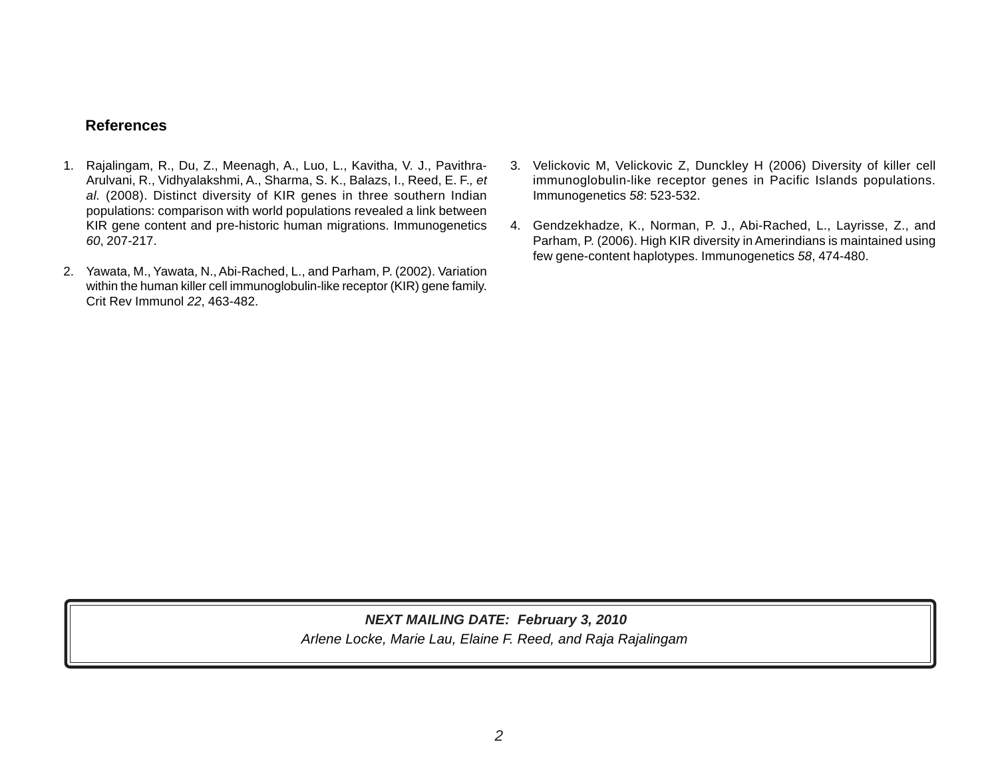# **References**

- 1. Rajalingam, R., Du, Z., Meenagh, A., Luo, L., Kavitha, V. J., Pavithra-Arulvani, R., Vidhyalakshmi, A., Sharma, S. K., Balazs, I., Reed, E. F.*, et al.* (2008). Distinct diversity of KIR genes in three southern Indian populations: comparison with world populations revealed a link between KIR gene content and pre-historic human migrations. Immunogenetics *60*, 207-217.
- 2. Yawata, M., Yawata, N., Abi-Rached, L., and Parham, P. (2002). Variation within the human killer cell immunoglobulin-like receptor (KIR) gene family. Crit Rev Immunol *22*, 463-482.
- 3. Velickovic M, Velickovic Z, Dunckley H (2006) Diversity of killer cell immunoglobulin-like receptor genes in Pacific Islands populations. Immunogenetics *58*: 523-532.
- 4. Gendzekhadze, K., Norman, P. J., Abi-Rached, L., Layrisse, Z., and Parham, P. (2006). High KIR diversity in Amerindians is maintained using few gene-content haplotypes. Immunogenetics *58*, 474-480.

# *Arlene Locke, Marie Lau, Elaine F. Reed, and Raja Rajalingam NEXT MAILING DATE: February 3, 2010*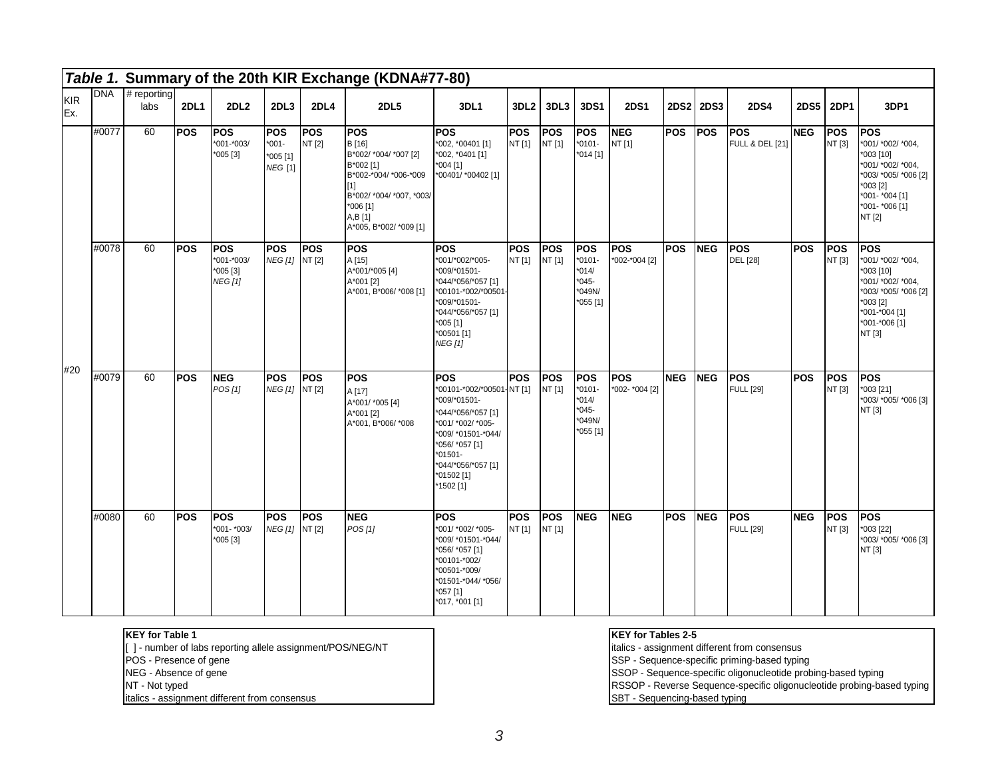|                   |       |                     |             |                                                      |                                                       |               | Table 1. Summary of the 20th KIR Exchange (KDNA#77-80)                                                                                                                 |                                                                                                                                                                                                          |                      |                      |                                                                    |                              |             |             |                                |             |                       |                                                                                                                                                       |
|-------------------|-------|---------------------|-------------|------------------------------------------------------|-------------------------------------------------------|---------------|------------------------------------------------------------------------------------------------------------------------------------------------------------------------|----------------------------------------------------------------------------------------------------------------------------------------------------------------------------------------------------------|----------------------|----------------------|--------------------------------------------------------------------|------------------------------|-------------|-------------|--------------------------------|-------------|-----------------------|-------------------------------------------------------------------------------------------------------------------------------------------------------|
| <b>KIR</b><br>Ex. | DNA   | # reporting<br>labs | <b>2DL1</b> | <b>2DL2</b>                                          | 2DL3                                                  | <b>2DL4</b>   | <b>2DL5</b>                                                                                                                                                            | 3DL1                                                                                                                                                                                                     | 3DL <sub>2</sub>     | 3DL3                 | 3DS1                                                               | <b>2DS1</b>                  | <b>2DS2</b> | <b>2DS3</b> | <b>2DS4</b>                    | <b>2DS5</b> | 2DP1                  | 3DP1                                                                                                                                                  |
|                   | #0077 | 60                  | <b>POS</b>  | <b>POS</b><br>$*001 - *003/$<br>$*005 [3]$           | <b>IPOS</b><br>$*001 -$<br>*005 [1]<br><b>NEG</b> [1] | POS<br>NT [2] | <b>POS</b><br>B [16]<br>B*002/ *004/ *007 [2]<br>B*002 [1]<br>B*002-*004/ *006-*009<br>[1]<br>B*002/ *004/ *007, *003/<br>*006 [1]<br>A,B[1]<br>A*005, B*002/ *009 [1] | <b>POS</b><br>*002, *00401 [1]<br>*002, *0401 [1]<br>$*004$ [1]<br>*00401/ *00402 [1]                                                                                                                    | <b>POS</b><br>NT [1] | <b>POS</b><br>NT [1] | <b>POS</b><br>$*0101-$<br>*014 [1]                                 | <b>NEG</b><br>NT [1]         | <b>POS</b>  | <b>POS</b>  | <b>POS</b><br>FULL & DEL [21]  | <b>NEG</b>  | <b>POS</b><br>NT [3]  | <b>POS</b><br>*001/ *002/ *004,<br>*003 [10]<br>*001/ *002/ *004,<br>*003/ *005/ *006 [2]<br>$*003$ [2]<br>*001- *004 [1]<br>*001- *006 [1]<br>NT [2] |
|                   | #0078 | 60                  | <b>POS</b>  | <b>POS</b><br>$*001 - *003/$<br>$*005[3]$<br>NEG [1] | <b>IPOS</b><br>NEG [1] NT [2]                         | <b>POS</b>    | <b>POS</b><br>A [15]<br>A*001/*005 [4]<br>A*001 [2]<br>A*001, B*006/ *008 [1]                                                                                          | <b>POS</b><br>*001/*002/*005-<br>*009/*01501-<br>*044/*056/*057 [1]<br>*00101-*002/*00501-<br>*009/*01501-<br>*044/*056/*057 [1]<br>$*005$ [1]<br>*00501 [1]<br><b>NEG [1]</b>                           | <b>POS</b><br>NT [1] | <b>POS</b><br>NT[1]  | POS<br>$*0101-$<br>$*014/$<br>$*045-$<br>*049N/<br>$*055[1]$       | <b>POS</b><br>*002-*004 [2]  | <b>POS</b>  | <b>NEG</b>  | lpos<br><b>DEL</b> [28]        | <b>POS</b>  | <b>IPOS</b><br>NT [3] | <b>POS</b><br>*001/ *002/ *004,<br>*003 [10]<br>*001/ *002/ *004,<br>*003/ *005/ *006 [2]<br>*003 [2]<br>*001-*004 [1]<br>*001-*006 [1]<br>NT [3]     |
| #20               | #0079 | 60                  | <b>POS</b>  | <b>NEG</b><br>POS[1]                                 | <b>IPOS</b><br>NEG [1] NT [2]                         | <b>POS</b>    | <b>POS</b><br>A [17]<br>A*001/ *005 [4]<br>A*001 [2]<br>A*001, B*006/ *008                                                                                             | <b>POS</b><br>*00101-*002/*00501-NT [1]<br>*009/*01501-<br>*044/*056/*057 [1]<br>*001/ *002/ *005-<br>*009/ *01501-*044/<br>*056/ *057 [1]<br>$*01501-$<br>*044/*056/*057 [1]<br>*01502 [1]<br>*1502 [1] | <b>POS</b>           | <b>POS</b><br>NT [1] | <b>POS</b><br>$*0101-$<br>$*014/$<br>$*045-$<br>*049N/<br>*055 [1] | <b>POS</b><br>*002- *004 [2] | <b>NEG</b>  | <b>NEG</b>  | <b>POS</b><br><b>FULL [29]</b> | <b>POS</b>  | <b>POS</b><br>NT [3]  | <b>POS</b><br>*003 [21]<br>*003/ *005/ *006 [3]<br>NT [3]                                                                                             |
|                   | #0080 | 60                  | <b>POS</b>  | lpos<br>*001- *003/<br>$*005[3]$                     | <b>IPOS</b><br>NEG [1] NT [2]                         | <b>POS</b>    | <b>NEG</b><br>POS[1]                                                                                                                                                   | <b>POS</b><br>*001/ *002/ *005-<br>*009/ *01501-*044/<br>*056/ *057 [1]<br>*00101-*002/<br>*00501-*009/<br>*01501-*044/ *056/<br>*057 [1]<br>*017, *001 [1]                                              | <b>POS</b><br>NT [1] | <b>POS</b><br>NT [1] | <b>NEG</b>                                                         | <b>NEG</b>                   | <b>POS</b>  | <b>NEG</b>  | lPOS.<br><b>FULL</b> [29]      | <b>NEG</b>  | <b>IPOS</b><br>NT [3] | <b>POS</b><br>*003 [22]<br>*003/ *005/ *006 [3]<br>NT [3]                                                                                             |

#### **KEY for Table 1**

[ ] - number of labs reporting allele assignment/POS/NEG/NT

- POS Presence of gene
- NEG Absence of gene
- NT Not typed

italics - assignment different from consensus

## **KEY for Tables 2-5**

italics - assignment different from consensus

SSP - Sequence-specific priming-based typing

SSOP - Sequence-specific oligonucleotide probing-based typing

RSSOP - Reverse Sequence-specific oligonucleotide probing-based typing

SBT - Sequencing-based typing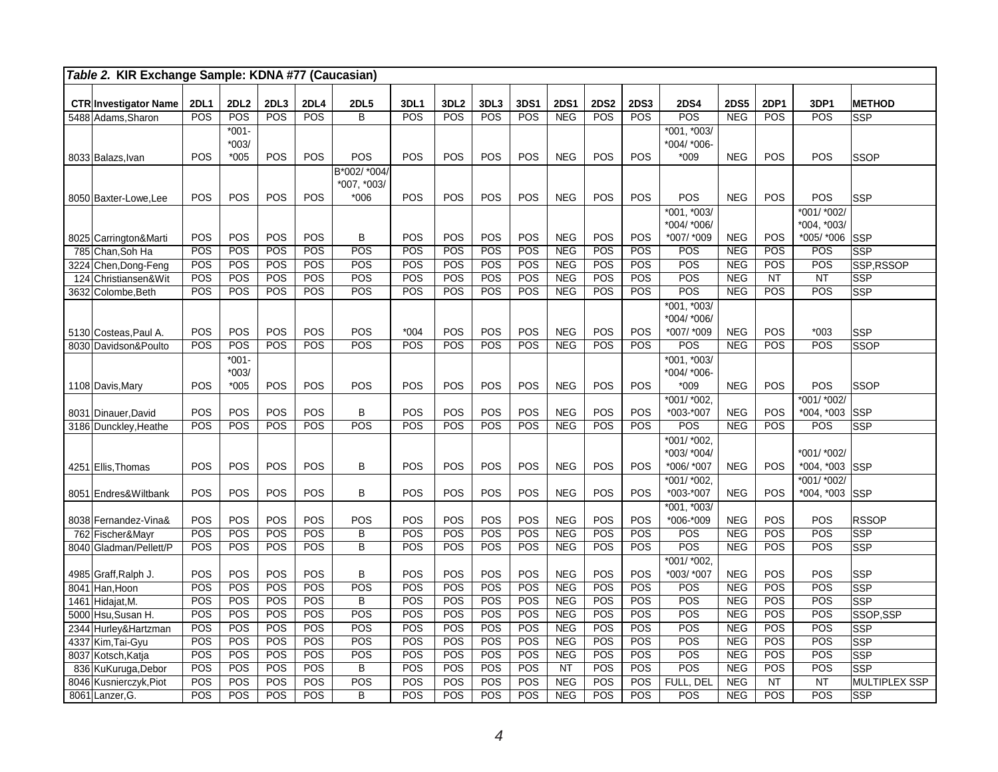|     | Table 2. KIR Exchange Sample: KDNA #77 (Caucasian) |                   |             |            |            |                                  |                  |                  |            |            |                          |             |                   |                   |                          |                   |                |                         |
|-----|----------------------------------------------------|-------------------|-------------|------------|------------|----------------------------------|------------------|------------------|------------|------------|--------------------------|-------------|-------------------|-------------------|--------------------------|-------------------|----------------|-------------------------|
|     | <b>CTR Investigator Name</b>                       | <b>2DL1</b>       | <b>2DL2</b> | 2DL3       | 2DL4       | <b>2DL5</b>                      | 3DL1             | 3DL <sub>2</sub> | 3DL3       | 3DS1       | <b>2DS1</b>              | <b>2DS2</b> | <b>2DS3</b>       | <b>2DS4</b>       | <b>2DS5</b>              | <b>2DP1</b>       | 3DP1           | <b>METHOD</b>           |
|     | 5488 Adams.Sharon                                  | POS               | POS         | POS        | POS        | B                                | POS              | POS              | POS        | POS        | <b>NEG</b>               | POS         | POS               | POS               | <b>NEG</b>               | POS               | POS            | <b>SSP</b>              |
|     |                                                    |                   | $*001-$     |            |            |                                  |                  |                  |            |            |                          |             |                   | *001, *003/       |                          |                   |                |                         |
|     |                                                    |                   | $*003/$     |            |            |                                  |                  |                  |            |            |                          |             |                   | *004/ *006-       |                          |                   |                |                         |
|     | 8033 Balazs, Ivan                                  | <b>POS</b>        | $*005$      | POS        | POS        | POS                              | POS              | POS              | POS        | POS        | <b>NEG</b>               | POS         | POS               | $*009$            | <b>NEG</b>               | POS               | POS            | SSOP                    |
|     |                                                    |                   |             |            |            | B*002/ *004/                     |                  |                  |            |            |                          |             |                   |                   |                          |                   |                |                         |
|     |                                                    |                   |             |            |            | *007, *003/                      |                  |                  |            |            |                          |             |                   |                   |                          |                   |                |                         |
|     | 8050 Baxter-Lowe, Lee                              | <b>POS</b>        | POS         | POS        | POS        | *006                             | POS              | POS              | POS        | POS        | <b>NEG</b>               | POS         | POS               | POS               | <b>NEG</b>               | POS               | POS            | SSP                     |
|     |                                                    |                   |             |            |            |                                  |                  |                  |            |            |                          |             |                   | *001, *003/       |                          |                   | *001/ *002/    |                         |
|     |                                                    |                   |             |            |            |                                  |                  |                  |            |            |                          |             |                   | *004/ *006/       |                          |                   | *004, *003/    |                         |
|     | 8025 Carrington&Marti                              | POS               | POS         | POS        | POS        | В                                | POS              | POS              | POS        | POS        | <b>NEG</b>               | POS         | POS               | *007/ *009        | <b>NEG</b>               | <b>POS</b>        | *005/ *006     | <b>SSP</b>              |
|     | 785 Chan, Soh Ha                                   | POS               | POS         | POS        | POS        | POS                              | POS              | POS              | POS        | POS        | <b>NEG</b>               | POS         | POS               | POS               | <b>NEG</b>               | POS               | POS            | <b>SSP</b>              |
|     | 3224 Chen, Dong-Feng                               | POS               | POS         | POS        | POS        | POS                              | POS              | POS              | POS        | POS        | <b>NEG</b>               | POS         | POS               | POS               | <b>NEG</b>               | POS               | POS            | SSP, RSSOP              |
| 124 | Christiansen&Wit                                   | POS               | POS         | POS        | POS        | POS                              | POS              | POS              | POS        | POS        | <b>NEG</b>               | POS         | POS               | POS               | <b>NEG</b>               | NT                | NT             | SSP                     |
|     | 3632 Colombe, Beth                                 | POS               | POS         | POS        | POS        | POS                              | POS              | POS              | POS        | POS        | NEG                      | POS         | POS               | POS               | <b>NEG</b>               | POS               | POS            | <b>SSP</b>              |
|     |                                                    |                   |             |            |            |                                  |                  |                  |            |            |                          |             |                   | $*001, *003/$     |                          |                   |                |                         |
|     |                                                    |                   |             |            |            |                                  |                  |                  |            |            |                          | POS         |                   | *004/ *006/       |                          |                   |                |                         |
|     | 5130 Costeas, Paul A.<br>8030 Davidson&Poulto      | <b>POS</b><br>POS | POS<br>POS  | POS<br>POS | POS<br>POS | POS<br>POS                       | $*004$<br>POS    | POS<br>POS       | POS<br>POS | POS<br>POS | <b>NEG</b><br><b>NEG</b> | POS         | <b>POS</b><br>POS | *007/ *009<br>POS | <b>NEG</b><br><b>NEG</b> | <b>POS</b><br>POS | $*003$<br>POS  | SSP<br>SSOP             |
|     |                                                    |                   | $*001-$     |            |            |                                  |                  |                  |            |            |                          |             |                   | *001, *003/       |                          |                   |                |                         |
|     |                                                    |                   | $*003/$     |            |            |                                  |                  |                  |            |            |                          |             |                   | *004/ *006-       |                          |                   |                |                         |
|     | 1108 Davis, Mary                                   | <b>POS</b>        | $*005$      | POS        | POS        | POS                              | <b>POS</b>       | POS              | POS        | POS        | <b>NEG</b>               | POS         | POS               | $*009$            | <b>NEG</b>               | POS               | POS            | SSOP                    |
|     |                                                    |                   |             |            |            |                                  |                  |                  |            |            |                          |             |                   | $*001/*002,$      |                          |                   | *001/ *002/    |                         |
|     | 8031 Dinauer David                                 | POS               | POS         | POS        | POS        | B                                | POS              | POS              | POS        | POS        | <b>NEG</b>               | POS         | POS               | *003-*007         | <b>NEG</b>               | POS               | *004, *003     | <b>SSP</b>              |
|     | 3186 Dunckley, Heathe                              | POS               | POS         | POS        | POS        | POS                              | POS              | POS              | POS        | POS        | <b>NEG</b>               | POS         | POS               | POS               | <b>NEG</b>               | POS               | POS            | <b>SSP</b>              |
|     |                                                    |                   |             |            |            |                                  |                  |                  |            |            |                          |             |                   | *001/ *002,       |                          |                   |                |                         |
|     |                                                    |                   |             |            |            |                                  |                  |                  |            |            |                          |             |                   | *003/ *004/       |                          |                   | *001/ *002/    |                         |
|     | 4251 Ellis, Thomas                                 | POS               | POS         | POS        | POS        | B                                | POS              | POS              | POS        | POS        | <b>NEG</b>               | POS         | POS               | *006/ *007        | <b>NEG</b>               | POS               | *004, *003 SSP |                         |
|     |                                                    |                   |             |            |            |                                  |                  |                  |            |            |                          |             |                   | *001/ *002.       |                          |                   | *001/ *002/    |                         |
|     | 8051 Endres& Wiltbank                              | POS               | POS         | POS        | POS        | B                                | POS              | POS              | POS        | POS        | <b>NEG</b>               | POS         | POS               | *003-*007         | <b>NEG</b>               | POS               | $*004, *003$   | <b>SSP</b>              |
|     |                                                    |                   |             |            |            |                                  |                  |                  |            |            |                          |             |                   | $*001, *003/$     |                          |                   |                |                         |
|     | 8038 Fernandez-Vina&                               | POS               | POS         | POS        | POS        | POS                              | POS              | POS              | POS        | POS        | <b>NEG</b>               | POS         | POS               | *006-*009         | <b>NEG</b>               | POS               | POS            | <b>RSSOP</b>            |
|     | 762 Fischer&Mayr                                   | POS               | POS         | POS        | POS<br>POS | $\overline{B}$<br>$\overline{B}$ | $\overline{POS}$ | POS              | POS<br>POS | POS        | NEG                      | POS         | POS               | POS<br>POS        | <b>NEG</b>               | POS               | POS<br>POS     | $\overline{\text{SSP}}$ |
|     | 8040 Gladman/Pellett/P                             | POS               | POS         | POS        |            |                                  | POS              | POS              |            | POS        | <b>NEG</b>               | POS         | POS               | *001/ *002.       | <b>NEG</b>               | POS               |                | <b>SSP</b>              |
|     | 4985 Graff, Ralph J.                               | POS               | POS         | POS        | POS        | B                                | POS              | POS              | POS        | POS        | <b>NEG</b>               | POS         | POS               | *003/ *007        | <b>NEG</b>               | POS               | POS            | <b>SSP</b>              |
|     | 8041 Han, Hoon                                     | POS               | POS         | POS        | POS        | POS                              | POS              | POS              | POS        | POS        | <b>NEG</b>               | POS         | POS               | POS               | <b>NEG</b>               | POS               | POS            | <b>SSP</b>              |
|     | 1461 Hidajat, M.                                   | POS               | POS         | POS        | POS        | B                                | POS              | POS              | POS        | POS        | <b>NEG</b>               | POS         | POS               | POS               | <b>NEG</b>               | POS               | POS            | <b>SSP</b>              |
|     | 5000 Hsu, Susan H.                                 | POS               | POS         | POS        | POS        | POS                              | POS              | POS              | POS        | POS        | <b>NEG</b>               | POS         | POS               | POS               | <b>NEG</b>               | POS               | POS            | SSOP, SSP               |
|     | 2344 Hurley& Hartzman                              | POS               | POS         | POS        | POS        | POS                              | POS              | POS              | POS        | POS        | <b>NEG</b>               | POS         | POS               | POS               | <b>NEG</b>               | POS               | POS            | <b>SSP</b>              |
|     | 4337 Kim, Tai-Gyu                                  | POS               | POS         | POS        | POS        | POS                              | POS              | POS              | POS        | POS        | <b>NEG</b>               | POS         | POS               | POS               | NEG                      | POS               | POS            | <b>SSP</b>              |
|     | 8037 Kotsch, Katja                                 | POS               | POS         | POS        | POS        | POS                              | POS              | POS              | POS        | POS        | NEG                      | POS         | POS               | POS               | <b>NEG</b>               | POS               | POS            | <b>SSP</b>              |
|     | 836 KuKuruga, Debor                                | POS               | POS         | POS        | POS        | B                                | POS              | POS              | POS        | POS        | <b>NT</b>                | POS         | <b>POS</b>        | POS               | <b>NEG</b>               | POS               | POS            | <b>SSP</b>              |
|     | 8046 Kusnierczyk, Piot                             | POS               | POS         | POS        | POS        | POS                              | POS              | POS              | POS        | POS        | <b>NEG</b>               | POS         | <b>POS</b>        | FULL, DEL         | NEG                      | <b>NT</b>         | <b>NT</b>      | MULTIPLEX SSP           |
|     | 8061 Lanzer, G.                                    | POS               | POS         | POS        | POS        | B                                | POS              | POS              | POS        | POS        | <b>NEG</b>               | POS         | POS               | POS               | <b>NEG</b>               | POS               | POS            | SSP                     |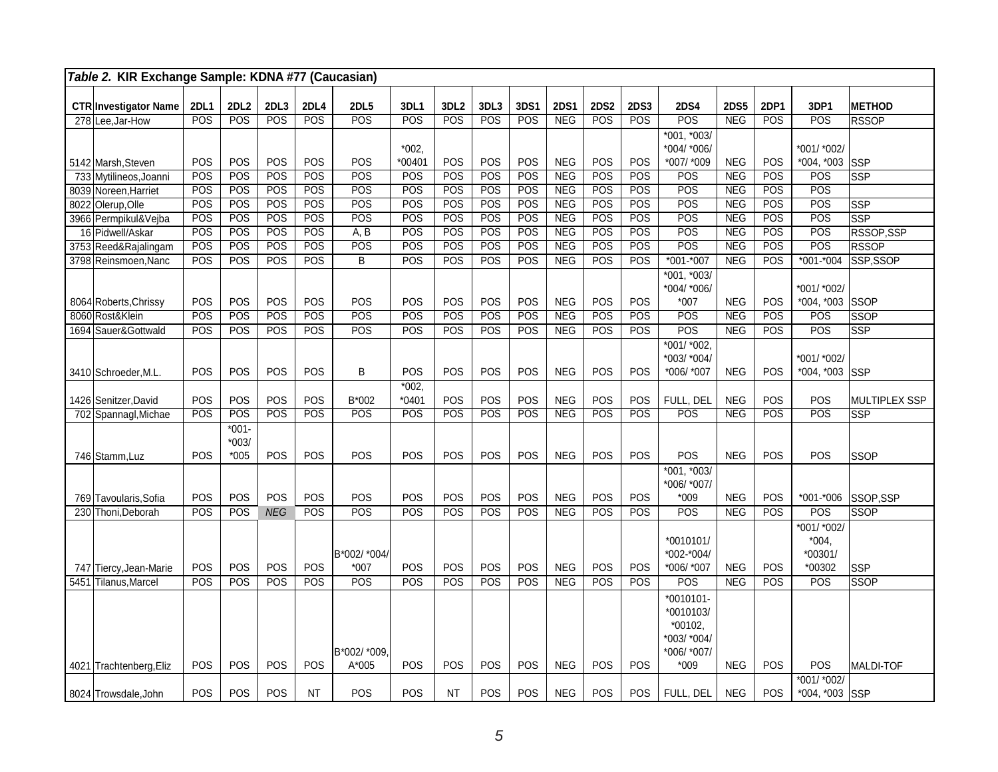|      | Table 2. KIR Exchange Sample: KDNA #77 (Caucasian) |             |                              |            |            |                        |                |                  |      |            |             |             |             |                                                                         |             |             |                                               |                      |
|------|----------------------------------------------------|-------------|------------------------------|------------|------------|------------------------|----------------|------------------|------|------------|-------------|-------------|-------------|-------------------------------------------------------------------------|-------------|-------------|-----------------------------------------------|----------------------|
|      | <b>CTR Investigator Name</b>                       | <b>2DL1</b> | <b>2DL2</b>                  | 2DL3       | 2DL4       | <b>2DL5</b>            | 3DL1           | 3DL <sub>2</sub> | 3DL3 | 3DS1       | <b>2DS1</b> | <b>2DS2</b> | <b>2DS3</b> | <b>2DS4</b>                                                             | <b>2DS5</b> | <b>2DP1</b> | 3DP1                                          | <b>METHOD</b>        |
|      | 278 Lee, Jar-How                                   | POS         | POS                          | POS        | POS        | POS                    | POS            | POS              | POS  | POS        | <b>NEG</b>  | POS         | POS         | POS                                                                     | <b>NEG</b>  | POS         | POS                                           | <b>RSSOP</b>         |
|      |                                                    |             |                              |            |            |                        | $*002,$        |                  |      |            |             |             |             | *001, *003/<br>*004/ *006/                                              |             |             | *001/ *002/                                   |                      |
|      | 5142 Marsh, Steven                                 | POS         | POS                          | POS        | POS        | POS                    | $*00401$       | POS              | POS  | POS        | <b>NEG</b>  | POS         | POS         | *007/ *009                                                              | <b>NEG</b>  | POS         | $*004, *003$                                  | SSP                  |
|      | 733 Mytilineos, Joanni                             | POS         | <b>POS</b>                   | POS        | POS        | POS                    | POS            | POS              | POS  | POS        | NEG         | POS         | POS         | POS                                                                     | <b>NEG</b>  | POS         | POS                                           | <b>SSP</b>           |
|      | 8039 Noreen.Harriet                                | POS         | <b>POS</b>                   | POS        | POS        | POS                    | POS            | POS              | POS  | POS        | <b>NEG</b>  | POS         | POS         | POS                                                                     | NEG         | POS         | POS                                           |                      |
|      | 8022 Olerup, Olle                                  | POS         | POS                          | POS        | POS        | POS                    | POS            | POS              | POS  | POS        | <b>NEG</b>  | POS         | POS         | POS                                                                     | <b>NEG</b>  | POS         | POS                                           | <b>SSP</b>           |
|      | 3966 Permpikul&Vejba                               | POS         | POS                          | POS        | POS        | POS                    | POS            | POS              | POS  | POS        | <b>NEG</b>  | POS         | POS         | POS                                                                     | NEG         | POS         | POS                                           | <b>SSP</b>           |
|      | 16 Pidwell/Askar                                   | POS         | POS                          | POS        | POS        | A, B                   | POS            | POS              | POS  | POS        | NEG         | POS         | POS         | POS                                                                     | NEG         | POS         | POS                                           | RSSOP, SSP           |
|      | 3753 Reed&Rajalingam                               | POS         | POS                          | POS        | POS        | POS                    | POS            | POS              | POS  | POS        | NEG         | POS         | POS         | POS                                                                     | NEG         | POS         | POS                                           | <b>RSSOP</b>         |
|      | 3798 Reinsmoen, Nanc                               | POS         | POS                          | POS        | POS        | B                      | POS            | POS              | POS  | POS        | <b>NEG</b>  | POS         | POS         | $*001 - *007$                                                           | <b>NEG</b>  | POS         | $*001 - *004$                                 | SSP,SSOP             |
|      | 8064 Roberts, Chrissy                              | POS         | POS                          | <b>POS</b> | POS        | POS                    | POS            | POS              | POS  | POS        | <b>NEG</b>  | POS         | <b>POS</b>  | *001, *003/<br>*004/ *006/<br>$*007$                                    | <b>NEG</b>  | <b>POS</b>  | *001/ *002/<br>$*004, *003$                   | SSOP                 |
|      | 8060 Rost&Klein                                    | POS         | POS                          | POS        | POS        | POS                    | POS            | POS              | POS  | POS        | NEG         | POS         | POS         | POS                                                                     | <b>NEG</b>  | POS         | POS                                           | <b>SSOP</b>          |
|      | 1694 Sauer& Gottwald                               | POS         | POS                          | POS        | POS        | POS                    | POS            | POS              | POS  | POS        | <b>NEG</b>  | POS         | POS         | POS                                                                     | NEG         | POS         | POS                                           | SSP                  |
|      | 3410 Schroeder, M.L.                               | <b>POS</b>  | POS                          | <b>POS</b> | <b>POS</b> | B                      | POS<br>$*002,$ | <b>POS</b>       | POS  | <b>POS</b> | <b>NEG</b>  | POS         | POS         | $*001/*002$<br>*003/ *004/<br>*006/ *007                                | <b>NEG</b>  | <b>POS</b>  | *001/ *002/<br>*004, *003 SSP                 |                      |
|      |                                                    | POS         | POS                          | POS        | POS        | B*002                  | $*0401$        | POS              | POS  | POS        | <b>NEG</b>  | POS         | POS         | FULL, DEL                                                               | <b>NEG</b>  | POS         | POS                                           | <b>MULTIPLEX SSP</b> |
|      | 1426 Senitzer, David<br>702 Spannagl, Michae       | POS         | <b>POS</b>                   | POS        | POS        | POS                    | POS            | POS              | POS  | POS        | <b>NEG</b>  | POS         | POS         | POS                                                                     | <b>NEG</b>  | POS         | POS                                           | <b>SSP</b>           |
|      | 746 Stamm, Luz                                     | POS         | $*001-$<br>$*003/$<br>$*005$ | POS        | POS        | POS                    | POS            | POS              | POS  | POS        | <b>NEG</b>  | POS         | POS         | POS                                                                     | <b>NEG</b>  | <b>POS</b>  | POS                                           | <b>SSOP</b>          |
|      | 769 Tavoularis, Sofia                              | <b>POS</b>  | POS                          | POS        | POS        | POS                    | POS            | POS              | POS  | POS        | <b>NEG</b>  | POS         | POS         | $*001, *003/$<br>*006/ *007/<br>$*009$                                  | <b>NEG</b>  | <b>POS</b>  | *001-*006                                     | SSOP,SSP             |
|      | 230 Thoni.Deborah                                  | POS         | <b>POS</b>                   | <b>NEG</b> | POS        | POS                    | POS            | POS              | POS  | POS        | <b>NEG</b>  | POS         | POS         | POS                                                                     | <b>NEG</b>  | POS         | POS                                           | <b>SSOP</b>          |
|      | 747 Tiercy, Jean-Marie                             | POS         | POS                          | POS        | POS        | B*002/ *004/<br>$*007$ | POS            | POS              | POS  | POS        | <b>NEG</b>  | POS         | POS         | $*0010101/$<br>*002-*004/<br>*006/ *007                                 | <b>NEG</b>  | POS         | *001/ *002/<br>$*004.$<br>$*00301/$<br>*00302 | <b>SSP</b>           |
| 5451 | Tilanus, Marcel                                    | POS         | <b>POS</b>                   | <b>POS</b> | POS        | POS                    | POS            | POS              | POS  | POS        | <b>NEG</b>  | POS         | POS         | POS                                                                     | <b>NEG</b>  | POS         | POS                                           | <b>SSOP</b>          |
|      | 4021 Trachtenberg, Eliz                            | <b>POS</b>  | <b>POS</b>                   | <b>POS</b> | POS        | B*002/ *009,<br>A*005  | POS            | POS              | POS  | <b>POS</b> | <b>NEG</b>  | <b>POS</b>  | POS         | *0010101-<br>*0010103/<br>*00102.<br>*003/ *004/<br>*006/ *007/<br>*009 | <b>NEG</b>  | <b>POS</b>  | <b>POS</b>                                    | <b>MALDI-TOF</b>     |
|      | 8024 Trowsdale, John                               | <b>POS</b>  | <b>POS</b>                   | <b>POS</b> | <b>NT</b>  | POS                    | <b>POS</b>     | <b>NT</b>        | POS  | <b>POS</b> | <b>NEG</b>  | <b>POS</b>  | <b>POS</b>  | FULL, DEL                                                               | <b>NEG</b>  | <b>POS</b>  | *001/ *002/<br>*004, *003 SSP                 |                      |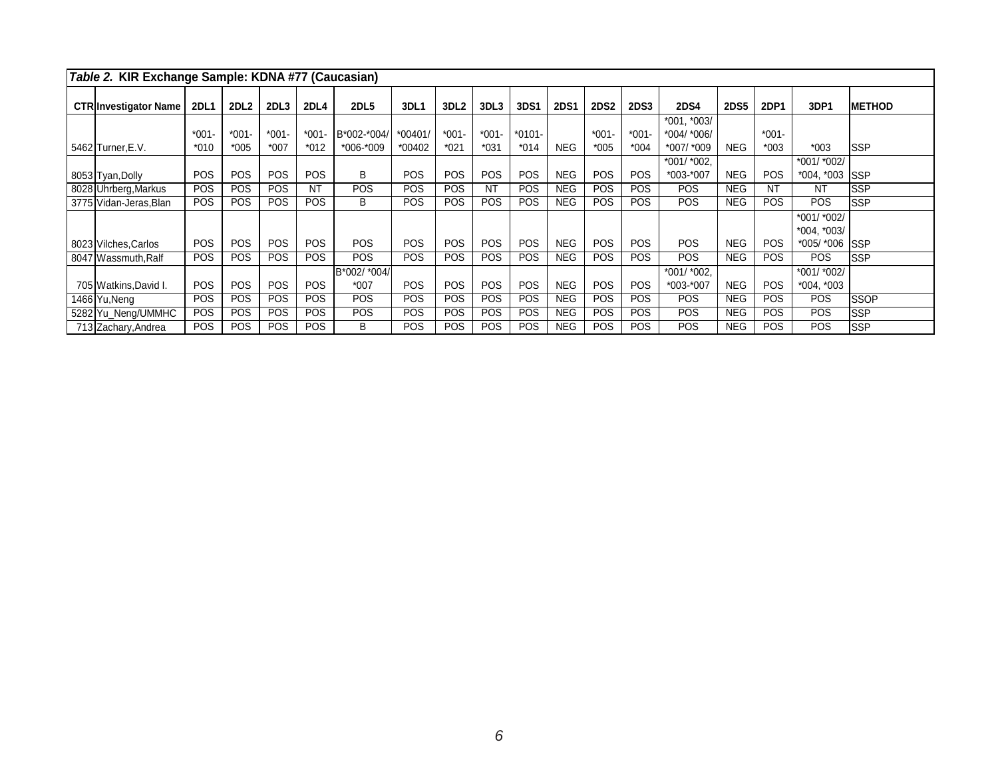| Table 2. KIR Exchange Sample: KDNA #77 (Caucasian) |             |             |                  |            |              |            |                  |           |            |             |             |             |                              |             |             |                |                |
|----------------------------------------------------|-------------|-------------|------------------|------------|--------------|------------|------------------|-----------|------------|-------------|-------------|-------------|------------------------------|-------------|-------------|----------------|----------------|
| <b>CTR Investigator Name</b>                       | <b>2DL1</b> | <b>2DL2</b> | 2DL <sub>3</sub> | 2DL4       | <b>2DL5</b>  | 3DL1       | 3DL <sub>2</sub> | 3DL3      | 3DS1       | <b>2DS1</b> | <b>2DS2</b> | <b>2DS3</b> | <b>2DS4</b>                  | <b>2DS5</b> | <b>2DP1</b> | 3DP1           | <b>IMETHOD</b> |
|                                                    | $*001-$     | $*001-$     | $*001 -$         | $*001$     | B*002-*004/  | *00401/    | $*001 -$         | $*001-$   | *0101-     |             | $*001-$     | $*001 -$    | $*001, *003/$<br>*004/ *006/ |             | $*001 -$    |                |                |
| 5462 Turner, E.V.                                  | $*010$      | $*005$      | $*007$           | $*012$     | *006-*009    | *00402     | $*021$           | $*031$    | $*014$     | <b>NEG</b>  | $*005$      | $*004$      | *007/ *009                   | <b>NEG</b>  | $*003$      | $*003$         | lSSP           |
|                                                    |             |             |                  |            |              |            |                  |           |            |             |             |             | *001/ *002.                  |             |             | *001/ *002/    |                |
| 8053 Tyan, Dolly                                   | <b>POS</b>  | <b>POS</b>  | <b>POS</b>       | <b>POS</b> | B            | <b>POS</b> | <b>POS</b>       | POS       | <b>POS</b> | <b>NEG</b>  | <b>POS</b>  | <b>POS</b>  | *003-*007                    | <b>NEG</b>  | <b>POS</b>  | *004, *003 SSP |                |
| 8028 Uhrberg, Markus                               | <b>POS</b>  | <b>POS</b>  | <b>POS</b>       | <b>NT</b>  | <b>POS</b>   | <b>POS</b> | <b>POS</b>       | <b>NT</b> | <b>POS</b> | <b>NEG</b>  | <b>POS</b>  | <b>POS</b>  | <b>POS</b>                   | <b>NEG</b>  | NT          | <b>NT</b>      | <b>SSP</b>     |
| 3775 Vidan-Jeras, Blan                             | <b>POS</b>  | <b>POS</b>  | POS              | POS        | B            | <b>POS</b> | <b>POS</b>       | POS       | <b>POS</b> | <b>NEG</b>  | <b>POS</b>  | <b>POS</b>  | POS                          | <b>NEG</b>  | <b>POS</b>  | POS            | lSSP           |
|                                                    |             |             |                  |            |              |            |                  |           |            |             |             |             |                              |             |             | *001/ *002/    |                |
|                                                    |             |             |                  |            |              |            |                  |           |            |             |             |             |                              |             |             | $*004, *003/$  |                |
| 8023 Vilches, Carlos                               | <b>POS</b>  | <b>POS</b>  | <b>POS</b>       | POS        | <b>POS</b>   | <b>POS</b> | <b>POS</b>       | POS       | <b>POS</b> | <b>NEG</b>  | <b>POS</b>  | <b>POS</b>  | POS                          | <b>NEG</b>  | POS         | *005/ *006     | <b>ISSP</b>    |
| 8047 Wassmuth, Ralf                                | <b>POS</b>  | <b>POS</b>  | POS              | <b>POS</b> | <b>POS</b>   | <b>POS</b> | <b>POS</b>       | POS       | <b>POS</b> | <b>NEG</b>  | <b>POS</b>  | <b>POS</b>  | <b>POS</b>                   | <b>NEG</b>  | <b>POS</b>  | POS            | lSSP           |
|                                                    |             |             |                  |            | B*002/ *004/ |            |                  |           |            |             |             |             | *001/ *002.                  |             |             | *001/ *002/    |                |
| 705 Watkins David I.                               | <b>POS</b>  | <b>POS</b>  | <b>POS</b>       | <b>POS</b> | $*007$       | <b>POS</b> | <b>POS</b>       | POS       | <b>POS</b> | <b>NEG</b>  | <b>POS</b>  | <b>POS</b>  | *003-*007                    | <b>NEG</b>  | <b>POS</b>  | $*004, *003$   |                |
| 1466 Yu, Neng                                      | <b>POS</b>  | <b>POS</b>  | <b>POS</b>       | <b>POS</b> | <b>POS</b>   | <b>POS</b> | <b>POS</b>       | POS       | <b>POS</b> | <b>NEG</b>  | <b>POS</b>  | <b>POS</b>  | <b>POS</b>                   | <b>NEG</b>  | <b>POS</b>  | <b>POS</b>     | <b>SSOP</b>    |
| 5282 Yu Neng/UMMHC                                 | <b>POS</b>  | <b>POS</b>  | <b>POS</b>       | <b>POS</b> | <b>POS</b>   | <b>POS</b> | <b>POS</b>       | POS       | <b>POS</b> | <b>NEG</b>  | <b>POS</b>  | <b>POS</b>  | <b>POS</b>                   | <b>NEG</b>  | POS.        | POS            | lSSP           |
| 713 Zachary, Andrea                                | <b>POS</b>  | <b>POS</b>  | POS              | <b>POS</b> | B            | POS        | <b>POS</b>       | POS       | <b>POS</b> | <b>NEG</b>  | <b>POS</b>  | <b>POS</b>  | <b>POS</b>                   | <b>NEG</b>  | <b>POS</b>  | POS            | lSSP           |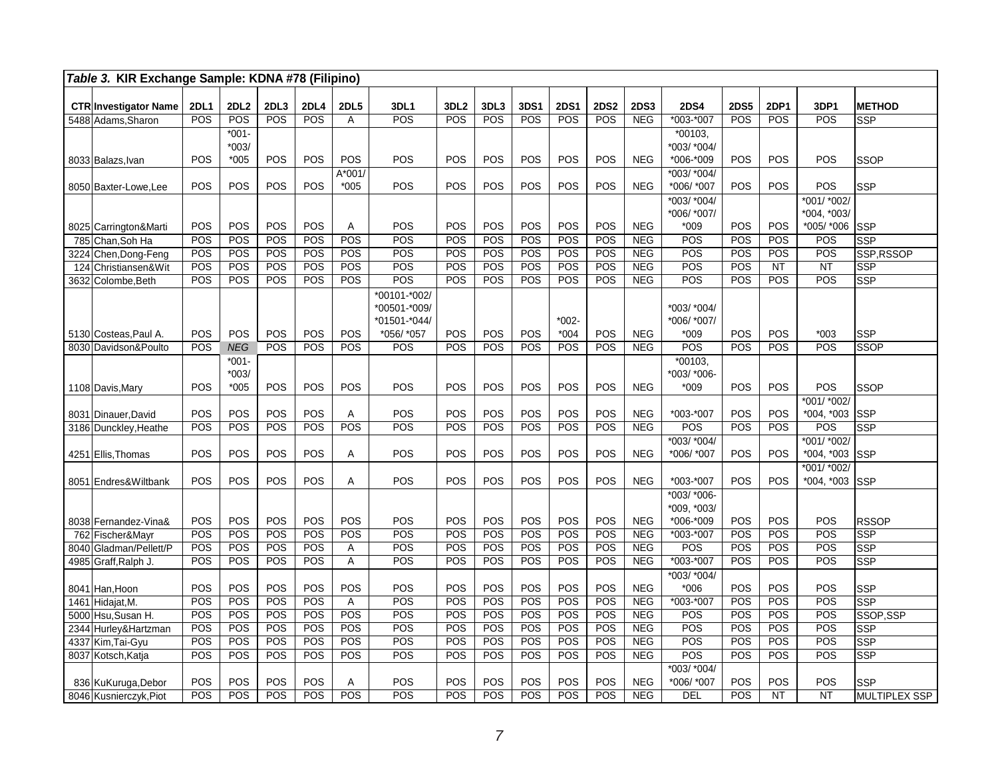| Table 3. KIR Exchange Sample: KDNA #78 (Filipino) |                          |             |            |             |             |              |                  |            |            |             |             |                          |                  |             |            |                           |                          |
|---------------------------------------------------|--------------------------|-------------|------------|-------------|-------------|--------------|------------------|------------|------------|-------------|-------------|--------------------------|------------------|-------------|------------|---------------------------|--------------------------|
| <b>CTR Investigator Name</b>                      | <b>2DL1</b>              | <b>2DL2</b> | 2DL3       | <b>2DL4</b> | <b>2DL5</b> | 3DL1         | 3DL <sub>2</sub> | 3DL3       | 3DS1       | <b>2DS1</b> | <b>2DS2</b> | <b>2DS3</b>              | <b>2DS4</b>      | <b>2DS5</b> | 2DP1       | 3DP1                      | <b>METHOD</b>            |
| 5488 Adams, Sharon                                | POS                      | POS         | POS        | POS         | Α           | POS          | POS              | POS        | POS        | POS         | POS         | <b>NEG</b>               | *003-*007        | POS         | POS        | POS                       | <b>SSP</b>               |
|                                                   |                          | $*001 -$    |            |             |             |              |                  |            |            |             |             |                          | $*00103,$        |             |            |                           |                          |
|                                                   |                          | $*003/$     |            |             |             |              |                  |            |            |             |             |                          | *003/ *004/      |             |            |                           |                          |
| 8033 Balazs, Ivan                                 | <b>POS</b>               | *005        | POS        | POS         | POS         | POS          | POS              | POS        | POS        | POS         | POS         | <b>NEG</b>               | *006-*009        | <b>POS</b>  | POS        | POS                       | <b>SSOP</b>              |
|                                                   |                          |             |            |             | $A*001$     |              |                  |            |            |             |             |                          | *003/ *004/      |             |            |                           |                          |
| 8050 Baxter-Lowe, Lee                             | POS                      | POS         | POS        | POS         | $*005$      | POS          | POS              | POS        | POS        | POS         | POS         | <b>NEG</b>               | *006/ *007       | POS         | POS        | POS                       | <b>SSP</b>               |
|                                                   |                          |             |            |             |             |              |                  |            |            |             |             |                          | *003/ *004/      |             |            | *001/ *002/               |                          |
|                                                   |                          |             |            |             |             |              |                  |            |            |             |             |                          | *006/ *007/      |             |            | *004, *003/               |                          |
| 8025 Carrington&Marti                             | <b>POS</b><br><b>POS</b> | POS<br>POS  | POS<br>POS | POS<br>POS  | Α<br>POS    | POS<br>POS   | POS<br>POS       | POS<br>POS | POS<br>POS | POS<br>POS  | POS<br>POS  | <b>NEG</b><br><b>NEG</b> | $*009$<br>POS    | POS<br>POS  | POS<br>POS | *005/ *006<br>POS         | <b>SSP</b><br><b>SSP</b> |
| 785 Chan, Soh Ha<br>3224 Chen, Dong-Feng          | POS                      | POS         | POS        | POS         | POS         | POS          | POS              | POS        | POS        | POS         | POS         | <b>NEG</b>               | POS              | POS         | POS        | POS                       | SSP.RSSOP                |
| 124 Christiansen&Wit                              | POS                      | POS         | POS        | POS         | POS         | POS          | POS              | POS        | POS        | POS         | POS         | <b>NEG</b>               | POS              | POS         | <b>NT</b>  | <b>NT</b>                 | <b>SSP</b>               |
| 3632 Colombe, Beth                                | POS                      | POS         | POS        | POS         | POS         | POS          | POS              | POS        | POS        | POS         | POS         | <b>NEG</b>               | POS              | POS         | POS        | POS                       | <b>SSP</b>               |
|                                                   |                          |             |            |             |             | *00101-*002/ |                  |            |            |             |             |                          |                  |             |            |                           |                          |
|                                                   |                          |             |            |             |             | *00501-*009/ |                  |            |            |             |             |                          | *003/ *004/      |             |            |                           |                          |
|                                                   |                          |             |            |             |             | *01501-*044/ |                  |            |            | $*002-$     |             |                          | *006/ *007/      |             |            |                           |                          |
| 5130 Costeas, Paul A.                             | POS                      | POS         | POS        | POS         | POS         | *056/ *057   | POS              | POS        | POS        | $*004$      | POS         | <b>NEG</b>               | $*009$           | POS         | POS        | $*003$                    | <b>SSP</b>               |
| 8030 Davidson&Poulto                              | POS                      | <b>NEG</b>  | POS        | POS         | POS         | POS          | POS              | POS        | POS        | POS         | POS         | <b>NEG</b>               | POS              | POS         | POS        | $\overline{POS}$          | <b>SSOP</b>              |
|                                                   |                          | $*001-$     |            |             |             |              |                  |            |            |             |             |                          | *00103,          |             |            |                           |                          |
|                                                   |                          | $*003/$     |            |             |             |              |                  |            |            |             |             |                          | *003/ *006-      |             |            |                           |                          |
| 1108 Davis, Mary                                  | POS                      | *005        | POS        | POS         | POS         | <b>POS</b>   | POS              | POS        | POS        | POS         | <b>POS</b>  | <b>NEG</b>               | $*009$           | <b>POS</b>  | POS        | <b>POS</b>                | SSOP                     |
| 8031 Dinauer, David                               | POS                      | POS         | POS        | POS         | Α           | POS          | POS              | POS        | POS        | POS         | POS         | <b>NEG</b>               | *003-*007        | POS         | POS        | *001/ *002/<br>*004, *003 | <b>SSP</b>               |
| 3186 Dunckley, Heathe                             | POS                      | POS         | POS        | POS         | POS         | POS          | POS              | POS        | POS        | POS         | POS         | <b>NEG</b>               | POS              | POS         | POS        | POS                       | <b>SSP</b>               |
|                                                   |                          |             |            |             |             |              |                  |            |            |             |             |                          | *003/ *004/      |             |            | *001/ *002/               |                          |
| 4251 Ellis, Thomas                                | POS                      | POS         | POS        | POS         | Α           | POS          | POS              | POS        | POS        | POS         | POS         | <b>NEG</b>               | *006/ *007       | POS         | POS        | *004, *003                | <b>SSP</b>               |
|                                                   |                          |             |            |             |             |              |                  |            |            |             |             |                          |                  |             |            | *001/ *002/               |                          |
| 8051   Endres& Wiltbank                           | POS                      | POS         | POS        | POS         | Α           | <b>POS</b>   | POS              | POS        | POS        | POS         | POS         | <b>NEG</b>               | *003-*007        | POS         | POS        | *004, *003                | <b>SSP</b>               |
|                                                   |                          |             |            |             |             |              |                  |            |            |             |             |                          | *003/ *006-      |             |            |                           |                          |
|                                                   |                          |             |            |             |             |              |                  |            |            |             |             |                          | *009, *003/      |             |            |                           |                          |
| 8038 Fernandez-Vina&                              | POS                      | POS         | POS        | POS         | POS         | POS          | POS              | POS        | POS        | POS         | POS         | <b>NEG</b>               | *006-*009        | POS         | POS        | POS                       | <b>RSSOP</b>             |
| 762 Fischer&Mavr                                  | POS                      | POS         | POS        | POS         | POS         | POS          | POS              | POS        | POS        | POS         | POS         | <b>NEG</b>               | *003-*007        | POS         | POS        | POS                       | <b>SSP</b>               |
| 8040 Gladman/Pellett/P<br>4985 Graff, Ralph J     | POS<br>POS               | POS<br>POS  | POS<br>POS | POS<br>POS  | А<br>Α      | POS<br>POS   | POS<br>POS       | POS<br>POS | POS<br>POS | POS<br>POS  | POS<br>POS  | NEG<br><b>NEG</b>        | POS<br>*003-*007 | POS<br>POS  | POS<br>POS | POS<br>POS                | <b>SSP</b><br><b>SSP</b> |
|                                                   |                          |             |            |             |             |              |                  |            |            |             |             |                          | *003/ *004/      |             |            |                           |                          |
| 8041 Han, Hoon                                    | <b>POS</b>               | POS         | POS        | POS         | POS         | POS          | POS              | POS        | POS        | POS         | POS         | <b>NEG</b>               | $*006$           | POS         | POS        | <b>POS</b>                | <b>SSP</b>               |
| 1461 Hidajat, M.                                  | POS                      | POS         | POS        | POS         | A           | POS          | POS              | POS        | POS        | POS         | POS         | <b>NEG</b>               | $*003.*007$      | POS         | POS        | POS                       | <b>SSP</b>               |
| 5000 Hsu.Susan H.                                 | POS                      | POS         | POS        | POS         | POS         | POS          | POS              | POS        | POS        | POS         | POS         | <b>NEG</b>               | POS              | POS         | POS        | POS                       | SSOP,SSP                 |
| 2344 Hurley& Hartzman                             | POS                      | POS         | POS        | POS         | POS         | POS          | POS              | POS        | POS        | POS         | POS         | <b>NEG</b>               | POS              | POS         | POS        | POS                       | <b>SSP</b>               |
| 4337 Kim, Tai-Gyu                                 | POS                      | POS         | POS        | POS         | POS         | POS          | POS              | POS        | POS        | POS         | POS         | <b>NEG</b>               | POS              | POS         | POS        | POS                       | <b>SSP</b>               |
| 8037 Kotsch, Katja                                | POS                      | POS         | POS        | POS         | POS         | POS          | POS              | POS        | POS        | POS         | POS         | <b>NEG</b>               | POS              | <b>POS</b>  | POS        | POS                       | <b>SSP</b>               |
|                                                   |                          |             |            |             |             |              |                  |            |            |             |             |                          | *003/ *004/      |             |            |                           |                          |
| 836 KuKuruga, Debor                               | POS                      | POS         | POS        | POS         | Α           | POS          | POS              | POS        | POS        | POS         | POS         | <b>NEG</b>               | *006/ *007       | POS         | POS        | POS                       | <b>SSP</b>               |
| 8046 Kusnierczyk, Piot                            | <b>POS</b>               | POS         | POS        | POS         | POS         | POS          | POS              | POS        | POS        | POS         | POS         | <b>NEG</b>               | DEL              | POS         | <b>NT</b>  | <b>NT</b>                 | <b>MULTIPLEX SSP</b>     |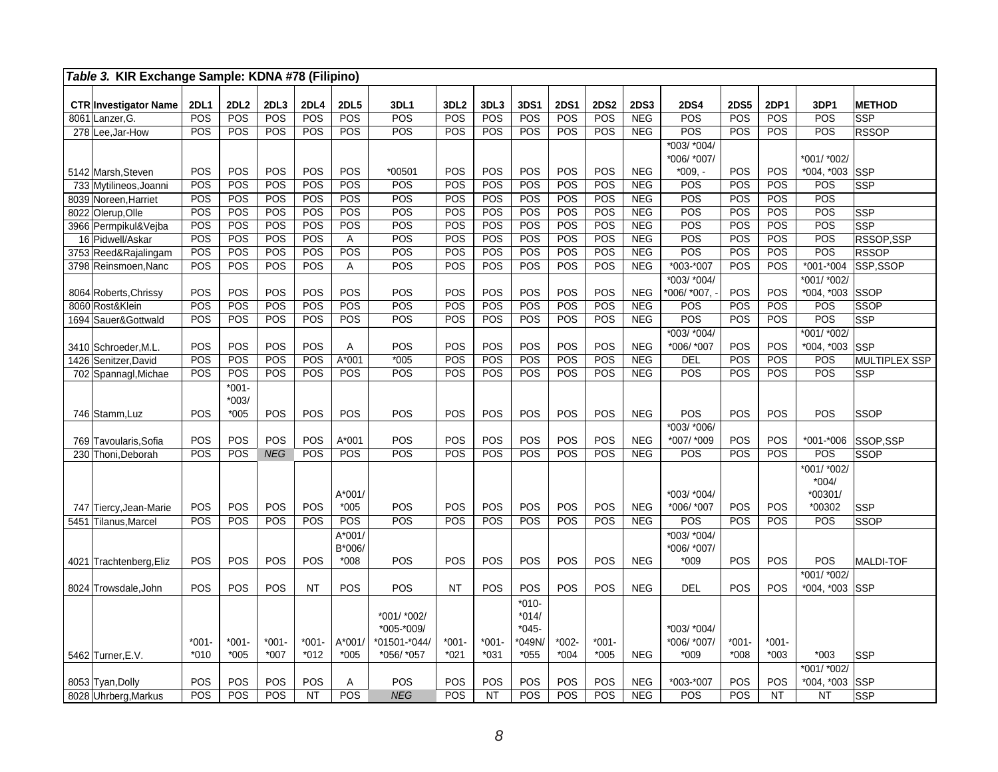|      | Table 3. KIR Exchange Sample: KDNA #78 (Filipino) |                    |                               |            |             |                              |                                           |                         |             |                                         |                    |                    |                           |                                       |                    |             |                                             |                      |
|------|---------------------------------------------------|--------------------|-------------------------------|------------|-------------|------------------------------|-------------------------------------------|-------------------------|-------------|-----------------------------------------|--------------------|--------------------|---------------------------|---------------------------------------|--------------------|-------------|---------------------------------------------|----------------------|
|      |                                                   |                    | 2DL2                          | 2DL3       |             |                              |                                           |                         |             |                                         |                    |                    |                           |                                       |                    |             |                                             |                      |
|      | <b>CTR Investigator Name</b><br>8061 Lanzer. G.   | <b>2DL1</b><br>POS | POS                           | POS        | 2DL4<br>POS | <b>2DL5</b><br>POS           | 3DL1<br>POS                               | 3DL <sub>2</sub><br>POS | 3DL3<br>POS | <b>3DS1</b><br>POS                      | <b>2DS1</b><br>POS | <b>2DS2</b><br>POS | <b>2DS3</b><br><b>NEG</b> | <b>2DS4</b><br>POS                    | <b>2DS5</b><br>POS | 2DP1<br>POS | 3DP1<br>POS                                 | <b>METHOD</b><br>SSP |
| 278  | Lee, Jar-How                                      | POS                | <b>POS</b>                    | POS        | <b>POS</b>  | POS                          | POS                                       | <b>POS</b>              | POS         | POS                                     | <b>POS</b>         | POS                | <b>NEG</b>                | POS                                   | <b>POS</b>         | <b>POS</b>  | POS                                         | <b>RSSOP</b>         |
|      |                                                   |                    |                               |            |             |                              |                                           |                         |             |                                         |                    |                    |                           | *003/ *004/                           |                    |             |                                             |                      |
|      |                                                   |                    |                               |            |             |                              |                                           |                         |             |                                         |                    |                    |                           | *006/ *007/                           |                    |             | *001/ *002/                                 |                      |
|      | 5142 Marsh, Steven                                | POS                | POS                           | POS        | POS         | POS                          | *00501                                    | POS                     | <b>POS</b>  | POS                                     | POS                | POS                | <b>NEG</b>                | $*009. -$                             | POS                | POS         | $*004, *003$                                | <b>SSP</b>           |
|      | 733 Mytilineos. Joanni                            | POS                | POS                           | POS        | POS         | POS                          | POS                                       | POS                     | POS         | POS                                     | POS                | POS                | <b>NEG</b>                | POS                                   | POS                | POS         | POS                                         | <b>SSP</b>           |
| 8039 | Noreen, Harriet                                   | POS                | POS                           | POS        | POS         | POS                          | POS                                       | POS                     | POS         | POS                                     | POS                | POS                | <b>NEG</b>                | POS                                   | <b>POS</b>         | POS         | POS                                         |                      |
|      | 8022 Olerup, Olle                                 | POS                | POS                           | POS        | POS         | POS                          | POS                                       | POS                     | POS         | POS                                     | POS                | POS                | <b>NEG</b>                | POS                                   | POS                | POS         | POS                                         | SSP                  |
|      | 3966 Permpikul&Vejba                              | POS                | POS                           | POS        | POS         | POS                          | POS                                       | POS                     | POS         | POS                                     | POS                | POS                | <b>NEG</b>                | POS                                   | POS                | POS         | POS                                         | SSP                  |
|      | 16 Pidwell/Askar                                  | POS                | <b>POS</b>                    | POS        | POS         | Α                            | POS                                       | POS                     | POS         | POS                                     | POS                | POS                | <b>NEG</b>                | POS                                   | POS                | POS         | POS                                         | RSSOP,SSP            |
|      | 3753 Reed&Rajalingam                              | POS                | POS                           | POS        | POS         | POS                          | POS                                       | POS                     | POS         | POS                                     | POS                | POS                | <b>NEG</b>                | POS                                   | POS                | POS         | POS                                         | <b>RSSOP</b>         |
|      | 3798 Reinsmoen, Nanc                              | POS                | POS                           | POS        | POS         | Α                            | POS                                       | POS                     | POS         | POS                                     | POS                | POS                | <b>NEG</b>                | $*003-*007$                           | POS                | POS         | $*001 - *004$                               | SSP,SSOP             |
|      |                                                   |                    |                               |            |             |                              |                                           |                         |             |                                         |                    |                    |                           | $*003/*004/$                          |                    |             | *001/ *002/                                 |                      |
|      | 8064 Roberts, Chrissy                             | POS                | POS                           | POS        | POS         | POS                          | POS                                       | POS                     | POS         | POS                                     | POS                | POS                | <b>NEG</b>                | *006/ *007,                           | POS                | POS         | $*004, *003$                                | <b>SSOP</b>          |
|      | 8060 Rost&Klein                                   | POS                | POS                           | POS        | POS         | POS                          | POS                                       | POS                     | POS         | POS                                     | POS                | POS                | <b>NEG</b>                | POS                                   | POS                | POS         | POS<br>POS                                  | SSOP                 |
|      | 1694 Sauer&Gottwald                               | POS                | POS                           | POS        | POS         | POS                          | POS                                       | POS                     | POS         | POS                                     | POS                | POS                | <b>NEG</b>                | POS                                   | POS                | <b>POS</b>  |                                             | <b>SSP</b>           |
|      |                                                   | POS                | POS                           | POS        | POS         | Α                            | POS                                       | POS                     | POS         | POS                                     | POS                | POS                | <b>NEG</b>                | $*003/*004/$<br>*006/ *007            | POS                | <b>POS</b>  | *001/ *002/<br>$*004, *003$                 | <b>SSP</b>           |
| 1426 | 3410 Schroeder, M.L.<br>Senitzer.David            | POS                | POS                           | POS        | POS         | $A*001$                      | $*005$                                    | POS                     | POS         | POS                                     | POS                | POS                | NEG                       | <b>DEL</b>                            | POS                | POS         | POS                                         | <b>MULTIPLEX SSP</b> |
|      | 702 Spannagl, Michae                              | POS                | POS                           | POS        | POS         | POS                          | POS                                       | POS                     | POS         | POS                                     | POS                | POS                | <b>NEG</b>                | POS                                   | POS                | POS         | POS                                         | SSP                  |
|      | 746 Stamm, Luz                                    | <b>POS</b>         | $*001 -$<br>$*003/$<br>$*005$ | POS        | POS         | POS                          | POS                                       | POS                     | POS         | POS                                     | POS                | POS                | <b>NEG</b>                | POS                                   | POS                | <b>POS</b>  | POS                                         | SSOP                 |
|      |                                                   |                    |                               |            |             |                              |                                           |                         |             |                                         |                    |                    |                           | *003/ *006/                           |                    |             |                                             |                      |
|      | 769 Tavoularis.Sofia                              | POS                | POS                           | POS        | POS         | A*001                        | POS                                       | POS                     | POS         | POS                                     | POS                | POS                | <b>NEG</b>                | *007/ *009                            | POS                | POS         | *001-*006                                   | SSOP,SSP             |
|      | 230 Thoni.Deborah                                 | POS                | POS                           | <b>NEG</b> | POS         | POS                          | POS                                       | POS                     | POS         | POS                                     | POS                | POS                | <b>NEG</b>                | POS                                   | <b>POS</b>         | POS         | POS                                         | <b>SSOP</b>          |
|      | 747 Tiercy, Jean-Marie                            | POS                | POS                           | POS        | POS         | A*001/<br>$*005$             | POS                                       | POS                     | POS         | POS                                     | POS                | POS                | <b>NEG</b>                | *003/ *004/<br>*006/ *007             | <b>POS</b>         | POS         | *001/ *002/<br>$*004/$<br>*00301/<br>*00302 | <b>SSP</b>           |
|      | 5451 Tilanus, Marcel                              | POS                | <b>POS</b>                    | POS        | <b>POS</b>  | POS                          | POS                                       | POS                     | POS         | POS                                     | POS                | POS                | <b>NEG</b>                | POS                                   | POS                | <b>POS</b>  | POS                                         | SSOP                 |
|      |                                                   | <b>POS</b>         | POS                           | POS        | POS         | $A*001/$<br>B*006/<br>$*008$ | POS                                       | POS                     | POS         | POS                                     | POS                | POS                | <b>NEG</b>                | $*003/*004/$<br>*006/ *007/<br>$*009$ | POS                | POS         | POS                                         | <b>MALDI-TOF</b>     |
|      | 4021 Trachtenberg, Eliz                           |                    |                               |            |             |                              |                                           |                         |             |                                         |                    |                    |                           |                                       |                    |             | *001/ *002/                                 |                      |
|      | 8024 Trowsdale, John                              | <b>POS</b>         | POS                           | POS        | <b>NT</b>   | POS                          | POS                                       | <b>NT</b>               | POS         | POS                                     | POS                | POS                | <b>NEG</b>                | <b>DEL</b>                            | <b>POS</b>         | POS         | *004, *003 SSP                              |                      |
|      |                                                   | $*001-$            | $*001-$                       | $*001 -$   | $*001$      | A*001/                       | *001/ *002/<br>*005-*009/<br>*01501-*044/ | $*001 -$                | $*001 -$    | $*010-$<br>$*014/$<br>$*045-$<br>*049N/ | $*002-$            | *001-              |                           | *003/ *004/<br>*006/ *007/            | $*001 -$           | $*001 -$    |                                             |                      |
|      | 5462 Turner, E.V.                                 | $*010$             | $*005$                        | $*007$     | $*012$      | $*005$                       | *056/ *057                                | $*021$                  | $*031$      | $*055$                                  | $*004$             | $*005$             | <b>NEG</b>                | $*009$                                | $*008$             | $*003$      | $*003$                                      | <b>SSP</b>           |
|      | 8053 Tyan, Dolly                                  | POS                | POS                           | POS        | POS         | Α                            | POS                                       | POS                     | <b>POS</b>  | POS                                     | POS                | POS                | <b>NEG</b>                | *003-*007                             | POS                | POS         | *001/ *002/<br>*004, *003                   | <b>SSP</b>           |
|      | 8028 Uhrberg, Markus                              | POS                | POS                           | POS        | <b>NT</b>   | POS                          | <b>NEG</b>                                | POS                     | <b>NT</b>   | POS                                     | POS                | POS                | <b>NEG</b>                | POS                                   | <b>POS</b>         | <b>NT</b>   | <b>NT</b>                                   | <b>SSP</b>           |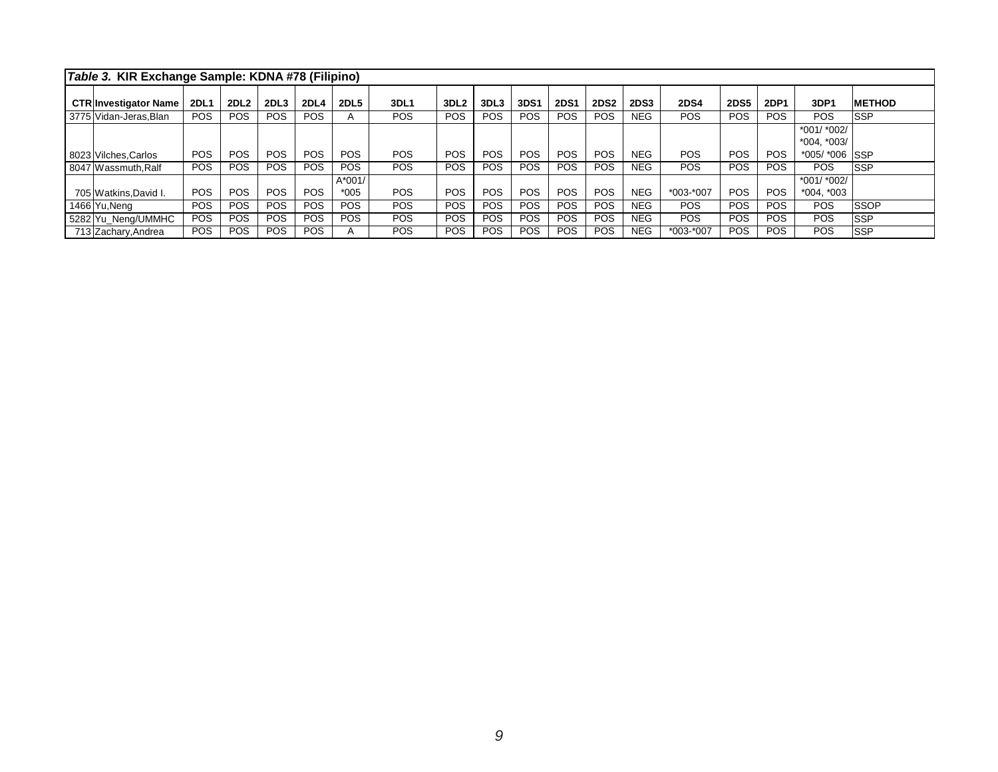| Table 3. KIR Exchange Sample: KDNA #78 (Filipino) |             |             |            |            |             |            |                  |            |             |             |             |             |             |             |            |                               |               |
|---------------------------------------------------|-------------|-------------|------------|------------|-------------|------------|------------------|------------|-------------|-------------|-------------|-------------|-------------|-------------|------------|-------------------------------|---------------|
| <b>CTRInvestigator Name</b>                       | <b>2DL1</b> | <b>2DL2</b> | 2DL3       | 2DL4       | <b>2DL5</b> | 3DL1       | 3DL <sub>2</sub> | 3DL3       | <b>3DS1</b> | <b>2DS1</b> | <b>2DS2</b> | <b>2DS3</b> | <b>2DS4</b> | <b>2DS5</b> | 2DP1       | 3DP1                          | <b>METHOD</b> |
| 3775 Vidan-Jeras. Blan                            | <b>POS</b>  | POS         | POS.       | POS.       |             | <b>POS</b> | <b>POS</b>       | <b>POS</b> | POS         | <b>POS</b>  | <b>POS</b>  | NEG.        | <b>POS</b>  | <b>POS</b>  | <b>POS</b> | <b>POS</b>                    | <b>SSP</b>    |
|                                                   |             |             |            |            |             |            |                  |            |             |             |             |             |             |             |            | $*001/*002/$<br>$*004, *003/$ |               |
| 8023 Vilches Carlos                               | <b>POS</b>  | <b>POS</b>  | POS.       | <b>POS</b> | <b>POS</b>  | <b>POS</b> | <b>POS</b>       | <b>POS</b> | <b>POS</b>  | <b>POS</b>  | POS.        | <b>NEG</b>  | POS.        | <b>POS</b>  | <b>POS</b> | *005/ *006 SSP                |               |
| 8047 Wassmuth, Ralf                               | <b>POS</b>  | POS         | <b>POS</b> | <b>POS</b> | <b>POS</b>  | <b>POS</b> | POS              | <b>POS</b> | POS         | POS.        | <b>POS</b>  | <b>NEG</b>  | <b>POS</b>  | <b>POS</b>  | <b>POS</b> | POS.                          | <b>SSP</b>    |
|                                                   |             |             |            |            | $A*001/$    |            |                  |            |             |             |             |             |             |             |            | $*001/$ $*002/$               |               |
| 705 Watkins David I.                              | <b>POS</b>  | <b>POS</b>  | POS.       | POS.       | $*005$      | <b>POS</b> | POS              | <b>POS</b> | POS         | <b>POS</b>  | <b>POS</b>  | <b>NEG</b>  | $*003-*007$ | <b>POS</b>  | POS        | $*004, *003$                  |               |
| 1466 Yu.Nena                                      | <b>POS</b>  | POS         | <b>POS</b> | <b>POS</b> | <b>POS</b>  | <b>POS</b> | POS              | <b>POS</b> | POS         | <b>POS</b>  | <b>POS</b>  | <b>NEG</b>  | <b>POS</b>  | POS         | POS.       | <b>POS</b>                    | <b>SSOP</b>   |
| 5282 Yu_Neng/UMMHC                                | <b>POS</b>  | POS         | POS.       | POS.       | POS.        | POS.       | <b>POS</b>       | <b>POS</b> | <b>POS</b>  | POS.        | <b>POS</b>  | NEG.        | <b>POS</b>  | <b>POS</b>  | POS.       | <b>POS</b>                    | <b>SSP</b>    |
| 713 Zachary, Andrea                               | <b>POS</b>  | POS         | <b>POS</b> | POS.       |             | <b>POS</b> | POS              | <b>POS</b> | POS         | POS         | POS.        | <b>NEG</b>  | *003-*007   | POS         | POS.       | POS.                          | <b>SSP</b>    |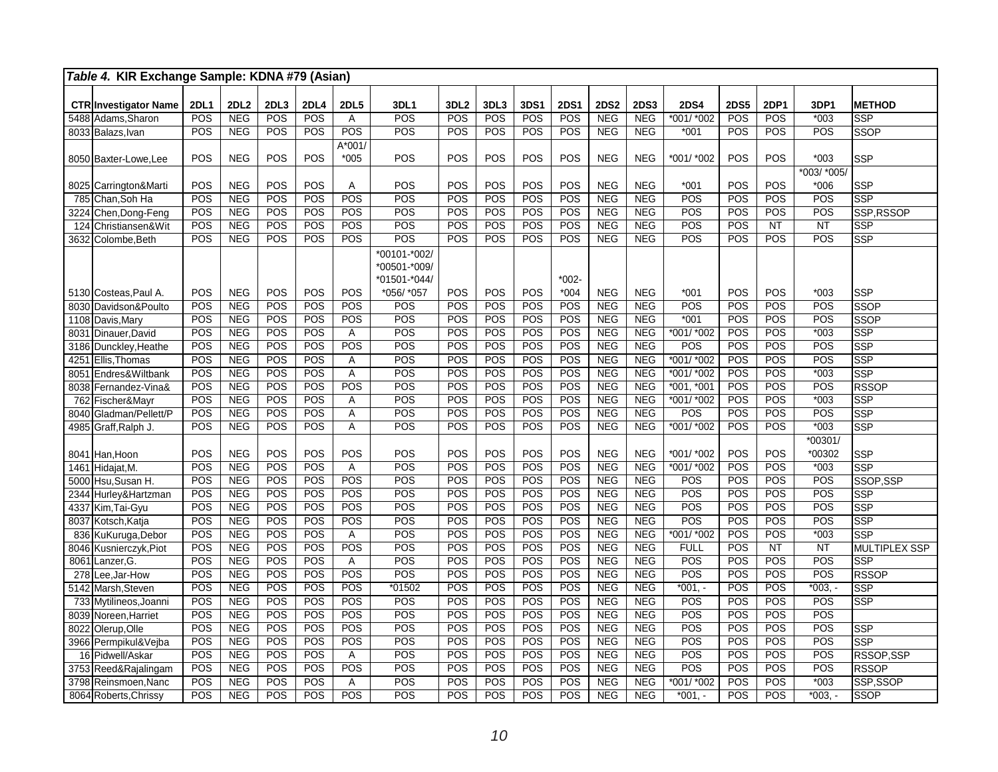| Table 4. KIR Exchange Sample: KDNA #79 (Asian) |             |                          |            |             |                       |                              |                  |            |            |             |                          |                          |                          |             |            |               |                      |
|------------------------------------------------|-------------|--------------------------|------------|-------------|-----------------------|------------------------------|------------------|------------|------------|-------------|--------------------------|--------------------------|--------------------------|-------------|------------|---------------|----------------------|
| <b>CTR Investigator Name</b>                   | <b>2DL1</b> | <b>2DL2</b>              | 2DL3       | <b>2DL4</b> | <b>2DL5</b>           | 3DL1                         | 3DL <sub>2</sub> | 3DL3       | 3DS1       | <b>2DS1</b> | <b>2DS2</b>              | <b>2DS3</b>              | <b>2DS4</b>              | <b>2DS5</b> | 2DP1       | 3DP1          | <b>METHOD</b>        |
| 5488<br>Adams, Sharon                          | POS         | <b>NEG</b>               | POS        | POS         | Α                     | POS                          | POS              | POS        | POS        | POS         | <b>NEG</b>               | <b>NEG</b>               | $*001/*002$              | POS         | POS        | $*003$        | <b>SSP</b>           |
| 8033 Balazs. Ivan                              | POS         | <b>NEG</b>               | POS        | POS         | POS                   | POS                          | POS              | POS        | POS        | POS         | <b>NEG</b>               | <b>NEG</b>               | $*001$                   | POS         | POS        | POS           | <b>SSOP</b>          |
|                                                |             |                          |            |             | A*001/                |                              |                  |            |            |             |                          |                          |                          |             |            |               |                      |
| 8050 Baxter-Lowe, Lee                          | POS         | <b>NEG</b>               | POS        | POS         | $*005$                | POS                          | POS              | POS        | POS        | POS         | <b>NEG</b>               | <b>NEG</b>               | *001/ *002               | POS         | POS        | $*003$        | <b>SSP</b>           |
|                                                |             |                          |            |             |                       |                              |                  |            |            |             |                          |                          |                          |             |            | *003/ *005/   |                      |
| 8025 Carrington&Marti                          | POS         | <b>NEG</b>               | POS        | POS         | Α                     | POS                          | POS              | POS        | POS        | POS         | <b>NEG</b>               | <b>NEG</b>               | $*001$                   | POS         | POS        | $*006$        | <b>SSP</b>           |
| Chan, Soh Ha<br>785                            | POS         | <b>NEG</b>               | POS        | POS         | POS                   | POS                          | POS              | POS        | POS        | POS         | <b>NEG</b>               | <b>NEG</b>               | POS                      | POS         | POS        | POS           | <b>SSP</b>           |
| 3224<br>Chen, Dong-Feng                        | POS         | <b>NEG</b>               | POS        | POS         | POS                   | POS                          | POS              | POS        | POS        | POS         | <b>NEG</b>               | <b>NEG</b>               | POS                      | POS         | POS        | POS           | SSP.RSSOP            |
| 124<br>Christiansen&Wit                        | POS         | <b>NEG</b>               | POS        | POS         | POS                   | POS                          | POS              | POS        | POS        | POS         | <b>NEG</b>               | <b>NEG</b>               | POS                      | POS         | NT         | <b>NT</b>     | <b>SSP</b>           |
| 3632<br>Colombe, Beth                          | POS         | <b>NEG</b>               | POS        | POS         | POS                   | POS                          | POS              | POS        | POS        | POS         | <b>NEG</b>               | <b>NEG</b>               | POS                      | POS         | POS        | POS           | <b>SSP</b>           |
|                                                |             |                          |            |             |                       | *00101-*002/<br>*00501-*009/ |                  |            |            |             |                          |                          |                          |             |            |               |                      |
|                                                |             |                          |            |             |                       | *01501-*044/                 |                  |            |            | $*002-$     |                          |                          |                          |             |            |               |                      |
| 5130 Costeas, Paul A.                          | POS         | <b>NEG</b>               | POS        | POS         | POS                   | *056/ *057                   | POS              | POS        | POS        | $*004$      | <b>NEG</b>               | <b>NEG</b>               | $*001$                   | POS         | POS        | $*003$        | <b>SSP</b>           |
| 8030 Davidson&Poulto                           | POS         | <b>NEG</b>               | POS        | POS         | POS                   | POS                          | POS              | POS        | POS        | POS         | <b>NEG</b>               | <b>NEG</b>               | POS                      | POS         | POS        | POS           | <b>SSOP</b>          |
| 1108<br>Davis, Mary                            | POS         | <b>NEG</b>               | POS        | POS         | POS                   | POS                          | POS              | POS        | POS        | POS         | <b>NEG</b>               | <b>NEG</b>               | $*001$                   | POS         | POS        | POS           | <b>SSOP</b>          |
| 8031 Dinauer, David                            | POS         | <b>NEG</b>               | POS        | POS         | A                     | POS                          | POS              | POS        | POS        | POS         | <b>NEG</b>               | <b>NEG</b>               | *001/ *002               | POS         | POS        | $*003$        | <b>SSP</b>           |
| Dunckley, Heathe<br>3186                       | POS         | <b>NEG</b>               | POS        | POS         | POS                   | POS                          | POS              | POS        | POS        | POS         | <b>NEG</b>               | <b>NEG</b>               | POS                      | POS         | POS        | POS           | SSP                  |
| 4251<br>Ellis.Thomas                           | POS<br>POS  | <b>NEG</b><br><b>NEG</b> | POS<br>POS | POS<br>POS  | Α                     | POS<br>POS                   | POS<br>POS       | POS<br>POS | POS<br>POS | POS<br>POS  | <b>NEG</b><br><b>NEG</b> | <b>NEG</b><br><b>NEG</b> | *001/ *002<br>*001/ *002 | POS<br>POS  | POS<br>POS | POS<br>$*003$ | <b>SSP</b><br>SSP    |
| 8051<br>Endres&Wiltbank                        | POS         |                          | POS        | POS         | $\overline{A}$<br>POS | POS                          | POS              | POS        |            | POS         | <b>NEG</b>               |                          | $*001, *001$             | POS         | POS        | POS           | <b>RSSOP</b>         |
| Fernandez-Vina&<br>8038<br>Fischer&Mayr<br>762 | POS         | <b>NEG</b><br><b>NEG</b> | POS        | POS         | Α                     | POS                          | POS              | POS        | POS<br>POS | POS         | <b>NEG</b>               | <b>NEG</b><br><b>NEG</b> | $*001/*002$              | POS         | POS        | $*003$        | <b>SSP</b>           |
| Gladman/Pellett/P<br>8040                      | POS         | <b>NEG</b>               | POS        | POS         | A                     | POS                          | POS              | POS        | POS        | POS         | <b>NEG</b>               | <b>NEG</b>               | POS                      | POS         | POS        | POS           | <b>SSP</b>           |
| 4985<br>Graff, Ralph J.                        | POS         | <b>NEG</b>               | POS        | POS         | A                     | POS                          | POS              | POS        | POS        | POS         | <b>NEG</b>               | <b>NEG</b>               | $*001/*002$              | POS         | POS        | $*003$        | <b>SSP</b>           |
|                                                |             |                          |            |             |                       |                              |                  |            |            |             |                          |                          |                          |             |            | *00301/       |                      |
| Han,Hoon<br>8041                               | POS         | <b>NEG</b>               | POS        | POS         | <b>POS</b>            | POS                          | POS              | POS        | POS        | POS         | <b>NEG</b>               | <b>NEG</b>               | *001/ *002               | POS         | POS        | *00302        | <b>SSP</b>           |
| Hidajat, M.<br>1461                            | POS         | <b>NEG</b>               | POS        | POS         | A                     | $\overline{POS}$             | POS              | POS        | POS        | POS         | <b>NEG</b>               | <b>NEG</b>               | *001/ *002               | POS         | POS        | $*003$        | <b>SSP</b>           |
| Hsu, Susan H.<br>5000                          | POS         | <b>NEG</b>               | POS        | POS         | POS                   | POS                          | POS              | POS        | POS        | POS         | NEG                      | NEG                      | POS                      | POS         | POS        | POS           | SSOP.SSP             |
| 2344<br>Hurley&Hartzman                        | POS         | <b>NEG</b>               | POS        | POS         | POS                   | POS                          | POS              | POS        | POS        | POS         | <b>NEG</b>               | <b>NEG</b>               | POS                      | POS         | POS        | POS           | <b>SSP</b>           |
| Kim, Tai-Gyu<br>4337                           | POS         | <b>NEG</b>               | POS        | POS         | POS                   | POS                          | POS              | POS        | POS        | POS         | <b>NEG</b>               | <b>NEG</b>               | POS                      | POS         | POS        | POS           | <b>SSP</b>           |
| Kotsch, Katja<br>8037                          | POS         | <b>NEG</b>               | POS        | POS         | POS                   | POS                          | POS              | POS        | POS        | POS         | <b>NEG</b>               | <b>NEG</b>               | POS                      | POS         | POS        | POS           | <b>SSP</b>           |
| KuKuruga, Debor<br>836                         | POS         | <b>NEG</b>               | POS        | POS         | Α                     | $\overline{POS}$             | POS              | POS        | POS        | POS         | <b>NEG</b>               | <b>NEG</b>               | *001/*002                | POS         | POS        | $*003$        | <b>SSP</b>           |
| Kusnierczyk, Piot<br>8046                      | POS         | <b>NEG</b>               | POS        | POS         | POS                   | $\overline{POS}$             | POS              | POS        | POS        | POS         | <b>NEG</b>               | <b>NEG</b>               | <b>FULL</b>              | POS         | <b>NT</b>  | <b>NT</b>     | <b>MULTIPLEX SSP</b> |
| 8061<br>Lanzer, G.                             | POS         | <b>NEG</b>               | POS        | POS         | A                     | POS                          | POS              | POS        | POS        | POS         | <b>NEG</b>               | <b>NEG</b>               | POS                      | POS         | POS        | POS           | <b>SSP</b>           |
| 278<br>ee,Jar-How                              | POS         | <b>NEG</b>               | POS        | POS         | POS                   | POS                          | POS              | POS        | POS        | POS         | <b>NEG</b>               | <b>NEG</b>               | POS                      | POS         | POS        | POS           | <b>RSSOP</b>         |
| 5142<br>Marsh, Steven                          | POS         | <b>NEG</b>               | POS        | POS         | POS                   | *01502                       | POS              | POS        | POS        | POS         | <b>NEG</b>               | <b>NEG</b>               | $*001, -$                | POS         | POS        | $*003,$       | <b>SSP</b>           |
| 733<br>Mytilineos, Joanni                      | POS         | <b>NEG</b>               | POS        | POS         | POS                   | POS                          | POS              | POS        | POS        | POS         | <b>NEG</b>               | <b>NEG</b>               | POS                      | POS         | POS        | POS           | SSP                  |
| 8039<br>Noreen.Harriet                         | POS         | <b>NEG</b>               | POS        | POS         | POS                   | POS                          | POS              | POS        | POS        | POS         | <b>NEG</b>               | <b>NEG</b>               | POS                      | POS         | POS        | POS           |                      |
| 8022<br>Olerup, Olle                           | POS         | <b>NEG</b>               | POS        | POS         | POS                   | POS                          | POS              | POS        | POS        | POS         | <b>NEG</b>               | <b>NEG</b>               | POS                      | POS         | POS        | POS           | <b>SSP</b>           |
| 3966 Permpikul&Vejba                           | POS         | <b>NEG</b>               | POS        | POS         | POS                   | POS                          | POS              | POS        | POS        | POS         | NEG                      | <b>NEG</b>               | $\overline{POS}$         | POS         | POS        | POS           | <b>SSP</b>           |
| 16 Pidwell/Askar                               | POS         | <b>NEG</b>               | POS        | POS         | $\overline{A}$        | POS                          | POS              | POS        | POS        | POS         | <b>NEG</b>               | <b>NEG</b>               | POS                      | POS         | POS        | POS           | RSSOP, SSP           |
| Reed&Rajalingam<br>3753                        | POS         | <b>NEG</b>               | POS        | POS         | <b>POS</b>            | POS                          | POS              | POS        | POS        | POS         | <b>NEG</b>               | <b>NEG</b>               | POS                      | POS         | POS        | POS           | <b>RSSOP</b>         |
| 3798<br>Reinsmoen, Nanc                        | POS         | <b>NEG</b>               | POS        | POS         | A                     | POS                          | POS              | POS        | POS        | POS         | <b>NEG</b>               | <b>NEG</b>               | *001/ *002               | POS         | POS        | $*003$        | SSP, SSOP            |
| 8064 Roberts, Chrissy                          | POS         | <b>NEG</b>               | POS        | POS         | POS                   | POS                          | POS              | POS        | POS        | POS         | <b>NEG</b>               | <b>NEG</b>               | $*001. -$                | POS         | POS        | $*003,$       | <b>SSOP</b>          |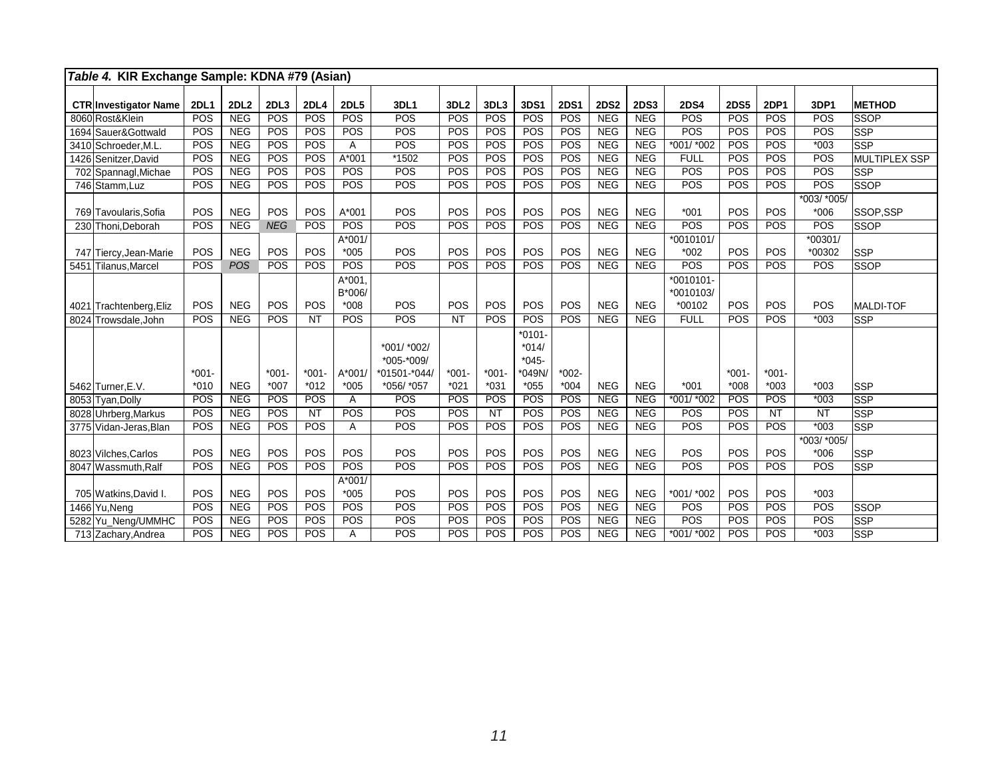| Table 4. KIR Exchange Sample: KDNA #79 (Asian) |                    |             |                  |                  |                             |                                                         |                   |                  |                                                    |                    |             |             |                                  |                    |                    |                       |                  |
|------------------------------------------------|--------------------|-------------|------------------|------------------|-----------------------------|---------------------------------------------------------|-------------------|------------------|----------------------------------------------------|--------------------|-------------|-------------|----------------------------------|--------------------|--------------------|-----------------------|------------------|
| <b>CTR Investigator Name</b>                   | <b>2DL1</b>        | <b>2DL2</b> | 2DL3             | <b>2DL4</b>      | <b>2DL5</b>                 | 3DL1                                                    | 3DL <sub>2</sub>  | 3DL3             | 3DS1                                               | <b>2DS1</b>        | <b>2DS2</b> | <b>2DS3</b> | <b>2DS4</b>                      | <b>2DS5</b>        | <b>2DP1</b>        | 3DP1                  | <b>METHOD</b>    |
| 8060 Rost&Klein                                | POS                | <b>NEG</b>  | POS              | POS              | POS                         | POS                                                     | POS               | POS              | POS                                                | POS                | <b>NEG</b>  | <b>NEG</b>  | POS                              | POS                | POS                | POS                   | <b>SSOP</b>      |
| 1694 Sauer&Gottwald                            | POS                | <b>NEG</b>  | POS              | POS              | POS                         | POS                                                     | POS               | POS              | POS                                                | POS                | <b>NEG</b>  | <b>NEG</b>  | POS                              | POS                | POS                | POS                   | <b>SSP</b>       |
| 3410 Schroeder, M.L.                           | POS                | <b>NEG</b>  | POS              | POS              | A                           | POS                                                     | POS               | POS              | POS                                                | POS                | <b>NEG</b>  | <b>NEG</b>  | *001/ *002                       | POS                | POS                | $*003$                | <b>SSP</b>       |
| 1426 Senitzer, David                           | POS                | <b>NEG</b>  | POS              | POS              | A*001                       | *1502                                                   | POS               | POS              | POS                                                | POS                | <b>NEG</b>  | <b>NEG</b>  | <b>FULL</b>                      | POS                | POS                | POS                   | MULTIPLEX SSP    |
| 702 Spannagl, Michae                           | POS                | <b>NEG</b>  | POS              | POS              | POS                         | POS                                                     | POS               | POS              | POS                                                | POS                | <b>NEG</b>  | <b>NEG</b>  | POS                              | POS                | POS                | POS                   | <b>SSP</b>       |
| 746 Stamm, Luz                                 | <b>POS</b>         | <b>NEG</b>  | POS              | POS              | POS                         | <b>POS</b>                                              | POS               | <b>POS</b>       | POS                                                | POS                | <b>NEG</b>  | <b>NEG</b>  | POS                              | POS                | <b>POS</b>         | POS                   | <b>SSOP</b>      |
| 769 Tavoularis.Sofia                           | POS                | <b>NEG</b>  | POS              | POS              | $A*001$                     | POS                                                     | POS               | POS              | POS                                                | POS                | <b>NEG</b>  | <b>NEG</b>  | $*001$                           | POS                | POS                | *003/ *005/<br>$*006$ | SSOP.SSP         |
| 230 Thoni.Deborah                              | POS                | <b>NEG</b>  | <b>NEG</b>       | POS              | POS                         | POS                                                     | POS               | POS              | POS                                                | POS                | <b>NEG</b>  | <b>NEG</b>  | POS                              | POS                | POS                | POS                   | SSOP             |
| 747 Tiercy, Jean-Marie                         | POS                | <b>NEG</b>  | POS              | POS              | $A*001/$<br>$*005$          | POS                                                     | POS               | POS              | POS                                                | POS                | <b>NEG</b>  | <b>NEG</b>  | *0010101/<br>*002                | POS                | POS                | *00301/<br>*00302     | <b>SSP</b>       |
| 5451 Tilanus.Marcel                            | POS                | <b>POS</b>  | POS              | POS              | POS                         | POS                                                     | POS               | POS              | POS                                                | POS                | <b>NEG</b>  | <b>NEG</b>  | POS                              | POS                | POS                | POS                   | <b>SSOP</b>      |
| 4021 Trachtenberg, Eliz                        | POS                | <b>NEG</b>  | POS              | POS              | $A*001$<br>B*006/<br>$*008$ | POS                                                     | POS               | POS              | POS                                                | POS                | <b>NEG</b>  | <b>NEG</b>  | *0010101-<br>*0010103/<br>*00102 | POS                | POS                | POS                   | <b>MALDI-TOF</b> |
| 8024 Trowsdale, John                           | POS                | <b>NEG</b>  | POS              | $\overline{NT}$  | POS                         | POS                                                     | <b>NT</b>         | <b>POS</b>       | POS                                                | POS                | <b>NEG</b>  | <b>NEG</b>  | <b>FULL</b>                      | POS                | <b>POS</b>         | $*003$                | <b>SSP</b>       |
| 5462 Turner, E.V.                              | $*001 -$<br>$*010$ | <b>NEG</b>  | $*001$<br>$*007$ | $*001$<br>$*012$ | $A*001/$<br>$*005$          | *001/ *002/<br>*005-*009/<br>*01501-*044/<br>*056/ *057 | $*001-$<br>$*021$ | $*001$<br>$*031$ | $*0101-$<br>$*014/$<br>$*045-$<br>*049N/<br>$*055$ | $*002 -$<br>$*004$ | <b>NEG</b>  | <b>NEG</b>  | $*001$                           | $*001 -$<br>$*008$ | $*001 -$<br>$*003$ | $*003$                | <b>SSP</b>       |
| 8053 Tvan.Dollv                                | POS                | <b>NEG</b>  | POS              | POS              | A                           | POS                                                     | POS               | POS              | POS                                                | POS                | <b>NEG</b>  | <b>NEG</b>  | $*001/*002$                      | POS                | POS                | $*003$                | <b>SSP</b>       |
| 8028 Uhrberg, Markus                           | POS                | <b>NEG</b>  | POS              | NT               | POS                         | POS                                                     | POS               | <b>NT</b>        | POS                                                | POS                | <b>NEG</b>  | <b>NEG</b>  | POS                              | POS                | <b>NT</b>          | <b>NT</b>             | <b>SSP</b>       |
| 3775 Vidan-Jeras, Blan                         | POS                | <b>NEG</b>  | POS              | POS              | A                           | POS                                                     | POS               | POS              | POS                                                | POS                | <b>NEG</b>  | <b>NEG</b>  | POS                              | POS                | POS                | $*003$                | <b>SSP</b>       |
| 8023 Vilches, Carlos                           | POS                | <b>NEG</b>  | POS              | POS              | POS                         | POS                                                     | POS               | POS              | POS                                                | POS                | <b>NEG</b>  | <b>NEG</b>  | POS                              | POS                | POS                | *003/ *005/<br>$*006$ | SSP              |
| 8047 Wassmuth.Ralf                             | POS                | <b>NEG</b>  | POS              | POS              | POS                         | POS                                                     | POS               | POS              | POS                                                | POS                | <b>NEG</b>  | <b>NEG</b>  | POS                              | POS                | <b>POS</b>         | POS                   | <b>SSP</b>       |
| 705 Watkins, David I.                          | POS                | <b>NEG</b>  | POS              | POS              | $A*001/$<br>$*005$          | POS                                                     | POS               | POS              | POS                                                | POS                | <b>NEG</b>  | <b>NEG</b>  | *001/ *002                       | POS                | POS                | $*003$                |                  |
| 1466 Yu, Neng                                  | POS                | <b>NEG</b>  | POS              | POS              | POS                         | POS                                                     | POS               | <b>POS</b>       | POS                                                | POS                | <b>NEG</b>  | <b>NEG</b>  | POS                              | POS                | POS                | POS                   | <b>SSOP</b>      |
| 5282 Yu_Neng/UMMHC                             | POS                | <b>NEG</b>  | POS              | POS              | POS                         | POS                                                     | POS               | POS              | POS                                                | POS                | <b>NEG</b>  | <b>NEG</b>  | POS                              | POS                | POS                | POS                   | <b>SSP</b>       |
| 713 Zachary, Andrea                            | POS                | <b>NEG</b>  | POS              | POS              | A                           | POS                                                     | POS               | POS              | POS                                                | POS                | <b>NEG</b>  | <b>NEG</b>  | *001/ *002                       | POS                | POS                | $*003$                | <b>SSP</b>       |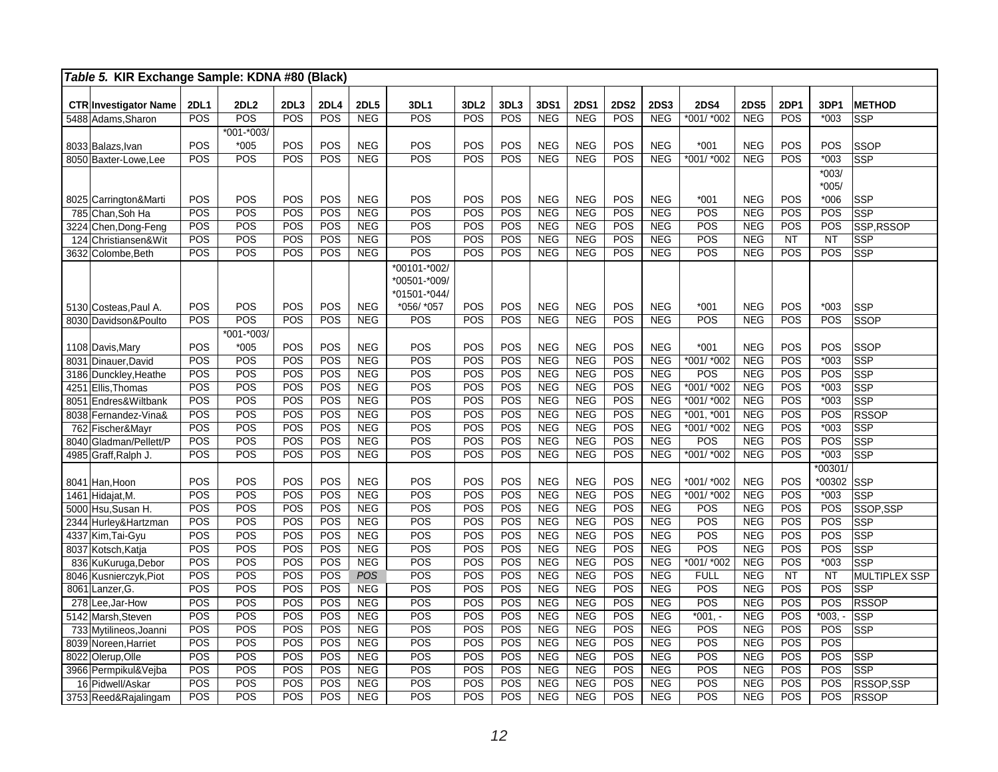| Table 5. KIR Exchange Sample: KDNA #80 (Black) |             |               |            |                    |                   |              |                  |      |                          |                          |             |                          |                      |                   |                  |                    |                             |
|------------------------------------------------|-------------|---------------|------------|--------------------|-------------------|--------------|------------------|------|--------------------------|--------------------------|-------------|--------------------------|----------------------|-------------------|------------------|--------------------|-----------------------------|
|                                                |             |               |            |                    |                   |              |                  |      |                          |                          |             |                          |                      |                   |                  |                    |                             |
| <b>CTR Investigator Name</b>                   | <b>2DL1</b> | <b>2DL2</b>   | 2DL3       | <b>2DL4</b><br>POS | <b>2DL5</b>       | 3DL1         | 3DL <sub>2</sub> | 3DL3 | 3DS1                     | <b>2DS1</b>              | <b>2DS2</b> | <b>2DS3</b>              | <b>2DS4</b>          | <b>2DS5</b>       | 2DP1<br>POS      | 3DP1               | <b>METHOD</b>               |
| 5488 Adams, Sharon                             | POS         | POS           | POS        |                    | <b>NEG</b>        | POS          | POS              | POS  | <b>NEG</b>               | <b>NEG</b>               | POS         | <b>NEG</b>               | $*001/*002$          | <b>NEG</b>        |                  | $*003$             | <b>SSP</b>                  |
|                                                |             | *001-*003/    |            | POS                |                   |              | POS              | POS  |                          |                          | POS         |                          |                      |                   | POS              |                    |                             |
| 8033 Balazs, Ivan                              | POS<br>POS  | $*005$<br>POS | POS<br>POS | POS                | <b>NEG</b><br>NEG | POS<br>POS   | POS              | POS  | <b>NEG</b><br>NEG        | <b>NEG</b><br><b>NEG</b> | POS         | <b>NEG</b><br><b>NEG</b> | $*001$<br>*001/ *002 | <b>NEG</b><br>NEG | POS              | POS<br>$*003$      | <b>SSOP</b><br><b>SSP</b>   |
| 8050 Baxter-Lowe.Lee                           |             |               |            |                    |                   |              |                  |      |                          |                          |             |                          |                      |                   |                  |                    |                             |
|                                                |             |               |            |                    |                   |              |                  |      |                          |                          |             |                          |                      |                   |                  | $*003/$<br>$*005/$ |                             |
| 8025 Carrington&Marti                          | POS         | POS           | POS        | POS                | <b>NEG</b>        | POS          | POS              | POS  | <b>NEG</b>               | <b>NEG</b>               | POS         | <b>NEG</b>               | $*001$               | <b>NEG</b>        | POS              | $*006$             | <b>SSP</b>                  |
| 785 Chan, Soh Ha                               | POS         | POS           | POS        | POS                | <b>NEG</b>        | POS          | POS              | POS  | <b>NEG</b>               | <b>NEG</b>               | POS         | <b>NEG</b>               | POS                  | <b>NEG</b>        | POS              | POS                | SSP                         |
| 3224 Chen, Dong-Feng                           | POS         | POS           | POS        | POS                | <b>NEG</b>        | POS          | POS              | POS  | <b>NEG</b>               | <b>NEG</b>               | POS         | <b>NEG</b>               | POS                  | <b>NEG</b>        | POS              | POS                | SSP.RSSOP                   |
| 124 Christiansen&Wit                           | POS         | POS           | POS        | POS                | <b>NEG</b>        | POS          | POS              | POS  | <b>NEG</b>               | <b>NEG</b>               | POS         | <b>NEG</b>               | POS                  | <b>NEG</b>        | <b>NT</b>        | <b>NT</b>          | SSP                         |
| 3632 Colombe, Beth                             | POS         | POS           | POS        | POS                | <b>NEG</b>        | POS          | POS              | POS  | <b>NEG</b>               | <b>NEG</b>               | POS         | <b>NEG</b>               | POS                  | <b>NEG</b>        | POS              | POS                | <b>SSP</b>                  |
|                                                |             |               |            |                    |                   | *00101-*002/ |                  |      |                          |                          |             |                          |                      |                   |                  |                    |                             |
|                                                |             |               |            |                    |                   | *00501-*009/ |                  |      |                          |                          |             |                          |                      |                   |                  |                    |                             |
|                                                |             |               |            |                    |                   | *01501-*044/ |                  |      |                          |                          |             |                          |                      |                   |                  |                    |                             |
| 5130 Costeas, Paul A.                          | POS         | POS           | POS        | POS                | <b>NEG</b>        | *056/ *057   | POS              | POS  | <b>NEG</b>               | <b>NEG</b>               | POS         | <b>NEG</b>               | $*001$               | <b>NEG</b>        | POS              | $*003$             | <b>SSP</b>                  |
| 8030 Davidson&Poulto                           | POS         | POS           | POS        | POS                | <b>NEG</b>        | POS          | POS              | POS  | <b>NEG</b>               | <b>NEG</b>               | POS         | <b>NEG</b>               | POS                  | <b>NEG</b>        | POS              | POS                | <b>SSOP</b>                 |
|                                                |             | *001-*003/    |            |                    |                   |              |                  |      |                          |                          |             |                          |                      |                   |                  |                    |                             |
| 1108 Davis, Mary                               | POS         | $*005$        | POS        | POS                | <b>NEG</b>        | POS          | POS              | POS  | <b>NEG</b>               | <b>NEG</b>               | POS         | <b>NEG</b>               | $*001$               | <b>NEG</b>        | POS              | POS                | <b>SSOP</b>                 |
| 8031<br>Dinauer.David                          | POS         | POS           | POS        | POS                | <b>NEG</b>        | POS          | POS              | POS  | <b>NEG</b>               | <b>NEG</b>               | POS         | <b>NEG</b>               | $*001/*002$          | <b>NEG</b>        | POS              | $*003$             | <b>SSP</b>                  |
| 3186 Dunckley, Heathe                          | POS         | POS           | POS        | POS                | <b>NEG</b>        | POS          | POS              | POS  | <b>NEG</b>               | <b>NEG</b>               | POS         | <b>NEG</b>               | POS                  | <b>NEG</b>        | POS              | POS                | <b>SSP</b>                  |
| Ellis, Thomas<br>4251                          | POS         | POS           | POS        | POS                | <b>NEG</b>        | POS          | POS              | POS  | <b>NEG</b>               | <b>NEG</b>               | POS         | <b>NEG</b>               | $*001/*002$          | <b>NEG</b>        | POS              | $*003$             | <b>SSP</b>                  |
| Endres&Wiltbank<br>8051                        | POS         | POS           | POS        | POS                | <b>NEG</b>        | POS          | POS              | POS  | <b>NEG</b>               | <b>NEG</b>               | POS         | <b>NEG</b>               | *001/ *002           | <b>NEG</b>        | POS              | $*003$             | SSP                         |
| 8038 Fernandez-Vina&                           | POS         | POS           | POS        | POS                | <b>NEG</b>        | POS          | POS              | POS  | <b>NEG</b>               | <b>NEG</b>               | POS         | <b>NEG</b>               | *001, *001           | <b>NEG</b>        | POS              | POS                | <b>RSSOP</b>                |
| 762 Fischer&Mayr                               | POS         | POS           | POS        | POS                | <b>NEG</b>        | POS          | POS              | POS  | <b>NEG</b>               | <b>NEG</b>               | POS         | <b>NEG</b>               | $*001/*002$          | NEG               | POS              | $*003$             | <b>SSP</b>                  |
| 8040 Gladman/Pellett/P                         | <b>POS</b>  | POS           | POS        | POS                | <b>NEG</b>        | POS          | POS              | POS  | <b>NEG</b>               | <b>NEG</b>               | POS         | <b>NEG</b>               | POS                  | <b>NEG</b>        | POS              | POS                | <b>SSP</b>                  |
| 4985 Graff, Ralph J.                           | POS         | POS           | POS        | POS                | <b>NEG</b>        | POS          | POS              | POS  | <b>NEG</b>               | <b>NEG</b>               | POS         | <b>NEG</b>               | *001/ *002           | <b>NEG</b>        | POS              | $*003$             | <b>SSP</b>                  |
|                                                |             |               |            |                    |                   |              |                  |      |                          |                          |             |                          |                      |                   |                  | $*00301$           |                             |
| 8041 Han, Hoon                                 | POS         | POS           | POS        | POS                | <b>NEG</b>        | POS          | POS              | POS  | <b>NEG</b>               | <b>NEG</b>               | POS         | <b>NEG</b>               | *001/ *002           | <b>NEG</b>        | POS              | *00302             | <b>SSP</b>                  |
| Hidajat, M.<br>1461                            | POS         | POS           | POS        | POS                | <b>NEG</b>        | POS          | POS              | POS  | <b>NEG</b>               | <b>NEG</b>               | POS         | <b>NEG</b>               | *001/ *002           | <b>NEG</b>        | POS              | $*003$             | <b>SSP</b>                  |
| 5000 Hsu, Susan H.                             | POS         | POS           | POS        | POS                | <b>NEG</b>        | POS          | POS              | POS  | <b>NEG</b>               | <b>NEG</b>               | POS         | <b>NEG</b>               | POS                  | <b>NEG</b>        | POS              | POS                | SSOP.SSP                    |
| 2344 Hurley& Hartzman                          | POS         | POS           | POS        | POS                | <b>NEG</b>        | POS          | POS              | POS  | <b>NEG</b>               | <b>NEG</b>               | POS         | <b>NEG</b>               | POS                  | <b>NEG</b>        | POS              | POS                | <b>SSP</b>                  |
| 4337 Kim, Tai-Gyu                              | POS         | POS           | POS        | POS                | <b>NEG</b>        | POS          | POS              | POS  | NEG                      | <b>NEG</b>               | POS         | NEG                      | POS                  | NEG               | POS              | POS                | <b>SSP</b>                  |
| 8037 Kotsch, Katja                             | POS         | POS           | POS        | POS                | <b>NEG</b>        | POS          | POS              | POS  | <b>NEG</b>               | <b>NEG</b>               | POS         | <b>NEG</b>               | POS                  | <b>NEG</b>        | POS              | POS                | <b>SSP</b>                  |
| 836 KuKuruga, Debor                            | POS         | POS           | POS        | POS<br>POS         | NEG               | POS          | POS              | POS  | <b>NEG</b><br><b>NEG</b> | <b>NEG</b><br><b>NEG</b> | POS         | <b>NEG</b>               | $*001/*002$          | <b>NEG</b>        | POS              | $*003$             | <b>SSP</b>                  |
| 8046 Kusnierczyk, Piot                         | POS<br>POS  | POS<br>POS    | POS<br>POS | POS                | <b>POS</b>        | POS<br>POS   | POS<br>POS       | POS  | NEG                      | <b>NEG</b>               | POS<br>POS  | <b>NEG</b><br><b>NEG</b> | <b>FULL</b><br>POS   | <b>NEG</b>        | <b>NT</b><br>POS | <b>NT</b><br>POS   | <b>MULTIPLEX SSP</b><br>SSP |
| 8061 Lanzer, G                                 |             |               |            |                    | <b>NEG</b>        |              |                  | POS  |                          |                          | POS         |                          |                      | <b>NEG</b>        |                  |                    |                             |
| 278 Lee, Jar-How                               | POS         | POS           | POS        | POS                | <b>NEG</b>        | POS          | POS              | POS  | <b>NEG</b><br><b>NEG</b> | <b>NEG</b><br><b>NEG</b> | POS         | <b>NEG</b>               | POS                  | <b>NEG</b>        | POS              | POS                | <b>RSSOP</b>                |
| 5142 Marsh.Steven                              | POS         | POS           | POS        | POS                | <b>NEG</b>        | POS          | POS              | POS  |                          |                          |             | <b>NEG</b>               | $*001, -$            | <b>NEG</b>        | POS              | $*003,$            | SSP                         |
| 733 Mytilineos, Joanni                         | POS         | POS           | POS        | POS                | NEG               | POS          | POS              | POS  | NEG                      | <b>NEG</b>               | POS         | <b>NEG</b>               | POS                  | <b>NEG</b>        | POS              | POS                | <b>SSP</b>                  |
| 8039 Noreen, Harriet                           | POS<br>POS  | POS           | POS        | POS                | <b>NEG</b>        | POS          | POS              | POS  | <b>NEG</b>               | <b>NEG</b>               | POS         | <b>NEG</b>               | POS                  | <b>NEG</b>        | POS              | POS                |                             |
| 8022 Olerup, Olle                              | POS         | POS           | POS        | POS                | <b>NEG</b>        | POS          | POS              | POS  | <b>NEG</b><br><b>NEG</b> | <b>NEG</b>               | POS<br>POS  | <b>NEG</b>               | POS<br>POS           | <b>NEG</b>        | POS              | POS<br>POS         | <b>SSP</b>                  |
| 3966 Permpikul&Vejba                           |             | POS<br>POS    | POS        | POS<br>POS         | <b>NEG</b>        | POS          | POS<br>POS       | POS  | NEG                      | <b>NEG</b><br>NEG        | POS         | <b>NEG</b><br>NEG        | POS                  | <b>NEG</b>        | POS              |                    | <b>SSP</b>                  |
| 16 Pidwell/Askar                               | <b>POS</b>  |               | POS        |                    | <b>NEG</b>        | POS          |                  | POS  |                          |                          |             |                          |                      | <b>NEG</b>        | POS              | POS                | RSSOP,SSP                   |
| 3753 Reed&Rajalingam                           | POS         | POS           | POS        | POS                | <b>NEG</b>        | POS          | POS              | POS  | <b>NEG</b>               | <b>NEG</b>               | POS         | <b>NEG</b>               | POS                  | <b>NEG</b>        | POS              | POS                | <b>RSSOP</b>                |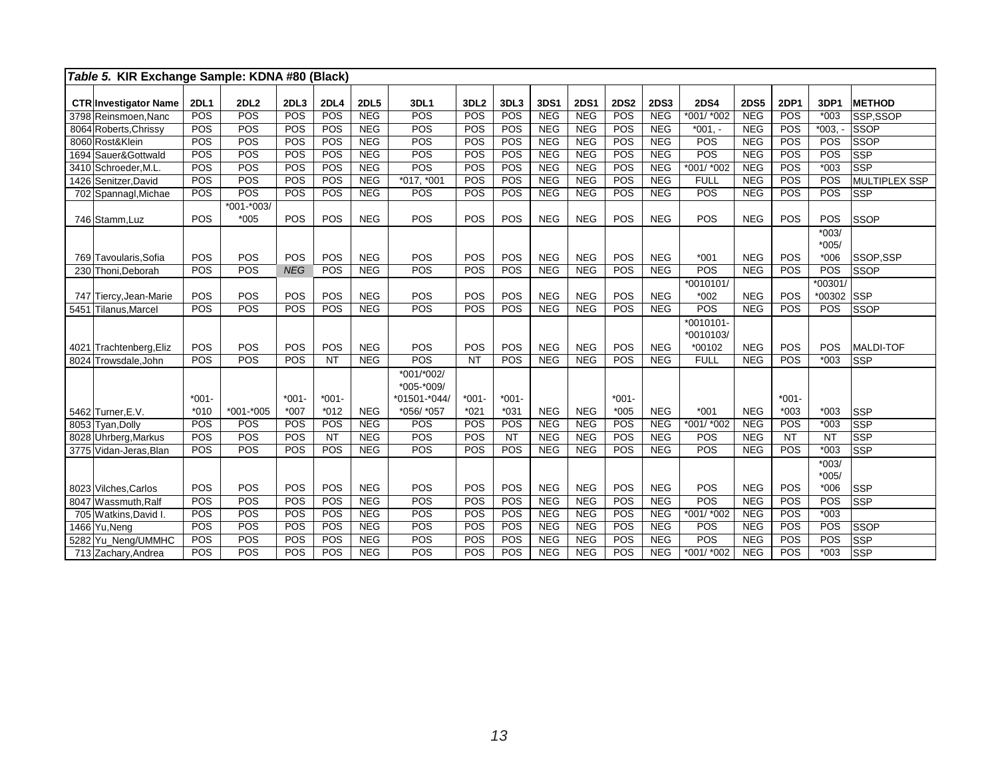|      | Table 5. KIR Exchange Sample: KDNA #80 (Black) |             |                |            |             |             |                                          |                  |           |            |             |             |             |                        |             |             |                    |                  |
|------|------------------------------------------------|-------------|----------------|------------|-------------|-------------|------------------------------------------|------------------|-----------|------------|-------------|-------------|-------------|------------------------|-------------|-------------|--------------------|------------------|
|      | <b>CTRInvestigator Name</b>                    | <b>2DL1</b> | 2DL2           | 2DL3       | <b>2DL4</b> | <b>2DL5</b> | 3DL1                                     | 3DL <sub>2</sub> | 3DL3      | 3DS1       | <b>2DS1</b> | <b>2DS2</b> | <b>2DS3</b> | <b>2DS4</b>            | <b>2DS5</b> | <b>2DP1</b> | 3DP1               | <b>METHOD</b>    |
|      | 3798 Reinsmoen.Nanc                            | POS         | POS            | POS        | POS         | <b>NEG</b>  | POS                                      | POS              | POS       | <b>NEG</b> | <b>NEG</b>  | POS         | <b>NEG</b>  | *001/ *002             | <b>NEG</b>  | POS         | $*003$             | SSP.SSOP         |
|      | 8064 Roberts, Chrissy                          | POS         | POS            | POS        | POS         | <b>NEG</b>  | POS                                      | POS              | POS       | <b>NEG</b> | <b>NEG</b>  | POS         | <b>NEG</b>  | $*001, -$              | <b>NEG</b>  | POS         | $*003.$            | <b>SSOP</b>      |
|      | 8060 Rost&Klein                                | POS         | POS            | POS        | POS         | <b>NEG</b>  | POS                                      | POS              | POS       | <b>NEG</b> | <b>NEG</b>  | POS         | <b>NEG</b>  | POS                    | <b>NEG</b>  | POS         | POS                | <b>SSOP</b>      |
|      | 1694 Sauer&Gottwald                            | POS         | POS            | POS        | POS         | <b>NEG</b>  | POS                                      | POS              | POS       | NEG        | <b>NEG</b>  | POS         | <b>NEG</b>  | POS                    | <b>NEG</b>  | POS         | POS                | <b>SSP</b>       |
|      | 3410 Schroeder, M.L.                           | POS         | POS            | POS        | POS         | NEG         | POS                                      | POS              | POS       | NEG        | NEG         | POS         | NEG         | $*001/*002$            | NEG         | POS         | $*003$             | <b>SSP</b>       |
|      | 1426 Senitzer, David                           | POS         | POS            | POS        | POS         | <b>NEG</b>  | *017, *001                               | POS              | POS       | NEG        | <b>NEG</b>  | POS         | <b>NEG</b>  | <b>FULL</b>            | <b>NEG</b>  | POS         | POS                | MULTIPLEX SSP    |
|      | 702 Spannagl, Michae                           | <b>POS</b>  | POS            | POS        | POS         | <b>NEG</b>  | POS                                      | POS              | POS       | <b>NEG</b> | <b>NEG</b>  | <b>POS</b>  | <b>NEG</b>  | POS                    | <b>NEG</b>  | POS         | POS                | <b>SSP</b>       |
|      |                                                |             | $*001 - *003/$ |            |             |             |                                          |                  |           |            |             |             |             |                        |             |             |                    |                  |
|      | 746 Stamm, Luz                                 | POS         | $*005$         | POS        | POS         | <b>NEG</b>  | POS                                      | POS              | POS       | <b>NEG</b> | <b>NEG</b>  | POS         | <b>NEG</b>  | POS                    | <b>NEG</b>  | POS         | POS                | SSOP             |
|      |                                                |             |                |            |             |             |                                          |                  |           |            |             |             |             |                        |             |             | $*003/$            |                  |
|      |                                                |             |                |            |             |             |                                          |                  |           |            |             |             |             |                        |             |             | $*005/$            |                  |
|      | 769 Tavoularis.Sofia                           | POS         | POS            | POS        | POS         | <b>NEG</b>  | POS                                      | POS              | POS       | <b>NEG</b> | <b>NEG</b>  | POS         | <b>NEG</b>  | $*001$                 | <b>NEG</b>  | POS         | $*006$             | SSOP.SSP         |
|      | 230 Thoni.Deborah                              | POS         | POS            | <b>NEG</b> | POS         | <b>NEG</b>  | POS                                      | POS              | POS       | <b>NEG</b> | <b>NEG</b>  | POS         | <b>NEG</b>  | POS                    | <b>NEG</b>  | POS         | POS                | <b>SSOP</b>      |
|      |                                                |             |                |            |             |             |                                          |                  |           |            |             |             |             | *0010101/              |             |             | $*00301/$          |                  |
|      | 747 Tiercy, Jean-Marie                         | POS         | POS            | POS        | POS         | <b>NEG</b>  | POS                                      | POS              | POS       | <b>NEG</b> | <b>NEG</b>  | POS         | <b>NEG</b>  | $*002$                 | <b>NEG</b>  | POS         | *00302             | <b>SSP</b>       |
| 5451 | Tilanus, Marcel                                | <b>POS</b>  | POS            | POS        | POS         | <b>NEG</b>  | POS                                      | POS              | POS       | <b>NEG</b> | <b>NEG</b>  | POS         | <b>NEG</b>  | POS                    | <b>NEG</b>  | POS         | POS                | <b>SSOP</b>      |
|      |                                                |             |                |            |             |             |                                          |                  |           |            |             |             |             | *0010101-<br>*0010103/ |             |             |                    |                  |
| 4021 | Trachtenberg, Eliz                             | POS         | POS            | POS        | POS         | <b>NEG</b>  | POS                                      | POS              | POS       | <b>NEG</b> | <b>NEG</b>  | POS         | <b>NEG</b>  | *00102                 | <b>NEG</b>  | POS         | POS                | <b>MALDI-TOF</b> |
|      | 8024 Trowsdale, John                           | POS         | POS            | POS        | <b>NT</b>   | <b>NEG</b>  | POS                                      | <b>NT</b>        | POS       | <b>NEG</b> | <b>NEG</b>  | POS         | <b>NEG</b>  | <b>FULL</b>            | <b>NEG</b>  | POS         | $*003$             | <b>SSP</b>       |
|      |                                                | $*001 -$    |                | $*001-$    | $*001 -$    |             | *001/*002/<br>*005-*009/<br>*01501-*044/ | $*001 -$         | $*001 -$  |            |             | $*001 -$    |             |                        |             | $*001 -$    |                    |                  |
|      | 5462 Turner, E.V.                              | $*010$      | $*001 - *005$  | $*007$     | $*012$      | <b>NEG</b>  | *056/ *057                               | $*021$           | $*031$    | <b>NEG</b> | <b>NEG</b>  | $*005$      | <b>NEG</b>  | $*001$                 | <b>NEG</b>  | $*003$      | $*003$             | <b>SSP</b>       |
|      | 8053 Tyan, Dolly                               | POS         | POS            | POS        | POS         | <b>NEG</b>  | POS                                      | POS              | POS       | <b>NEG</b> | <b>NEG</b>  | POS         | <b>NEG</b>  | *001/ *002             | <b>NEG</b>  | POS         | $*003$             | <b>SSP</b>       |
|      | 8028 Uhrberg, Markus                           | POS         | POS            | POS        | <b>NT</b>   | <b>NEG</b>  | <b>POS</b>                               | POS              | <b>NT</b> | <b>NEG</b> | <b>NEG</b>  | POS         | <b>NEG</b>  | POS                    | <b>NEG</b>  | <b>NT</b>   | $\overline{NT}$    | <b>SSP</b>       |
|      | 3775 Vidan-Jeras, Blan                         | POS         | POS            | POS        | POS         | <b>NEG</b>  | <b>POS</b>                               | POS              | POS       | <b>NEG</b> | <b>NEG</b>  | POS         | <b>NEG</b>  | POS                    | <b>NEG</b>  | POS         | $*003$             | <b>SSP</b>       |
|      |                                                |             |                |            |             |             |                                          |                  |           |            |             |             |             |                        |             |             | $*003/$<br>$*005/$ |                  |
|      | 8023 Vilches, Carlos                           | POS         | POS            | POS        | POS         | <b>NEG</b>  | POS                                      | POS              | POS       | <b>NEG</b> | <b>NEG</b>  | POS         | <b>NEG</b>  | POS                    | <b>NEG</b>  | POS         | $*006$             | <b>SSP</b>       |
|      | 8047 Wassmuth, Ralf                            | POS         | POS            | POS        | POS         | <b>NEG</b>  | POS                                      | POS              | POS       | <b>NEG</b> | <b>NEG</b>  | POS         | <b>NEG</b>  | POS                    | <b>NEG</b>  | POS         | POS                | <b>SSP</b>       |
|      | 705 Watkins, David I.                          | POS         | POS            | POS        | POS         | <b>NEG</b>  | POS                                      | POS              | POS       | <b>NEG</b> | <b>NEG</b>  | <b>POS</b>  | <b>NEG</b>  | $*001/*002$            | <b>NEG</b>  | POS         | $*003$             |                  |
|      | 1466 Yu, Neng                                  | POS         | POS            | POS        | POS         | <b>NEG</b>  | <b>POS</b>                               | POS              | POS       | <b>NEG</b> | NEG         | <b>POS</b>  | <b>NEG</b>  | POS                    | <b>NEG</b>  | POS         | POS                | <b>SSOP</b>      |
|      | 5282 Yu_Neng/UMMHC                             | POS         | POS            | POS        | POS         | <b>NEG</b>  | POS                                      | POS              | POS       | <b>NEG</b> | <b>NEG</b>  | POS         | <b>NEG</b>  | POS                    | NEG         | POS         | POS                | <b>SSP</b>       |
|      | 713 Zachary, Andrea                            | POS         | POS            | POS        | POS         | <b>NEG</b>  | POS                                      | POS              | POS       | <b>NEG</b> | <b>NEG</b>  | POS         | <b>NEG</b>  | *001/ *002             | <b>NEG</b>  | POS         | $*003$             | <b>SSP</b>       |